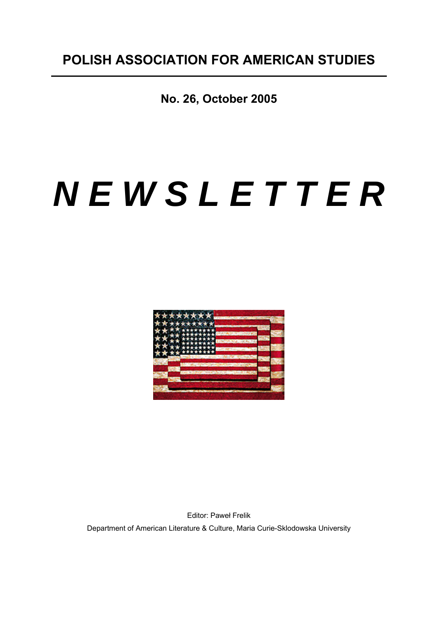**No. 26, October 2005** 

# *N E W S L E T T E R*



Editor: Paweł Frelik Department of American Literature & Culture, Maria Curie-Sklodowska University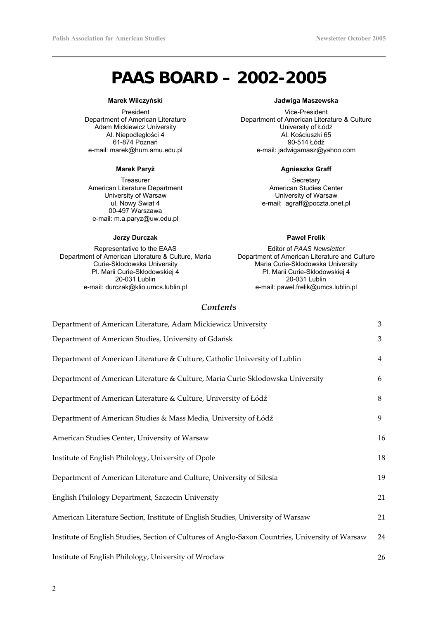# **PAAS BOARD – 2002-2005**

#### **Marek Wilczyński**

President Department of American Literature Adam Mickiewicz University Al. Niepodległości 4 61-874 Poznań e-mail: marek@hum.amu.edu.pl

#### **Marek Paryż**

Treasurer American Literature Department University of Warsaw ul. Nowy Swiat 4 00-497 Warszawa e-mail: m.a.paryz@uw.edu.pl

#### **Jerzy Durczak**

Representative to the EAAS Department of American Literature & Culture, Maria Curie-Sklodowska University Pl. Marii Curie-Skłodowskiej 4 20-031 Lublin e-mail: durczak@klio.umcs.lublin.pl

### **Jadwiga Maszewska**

Vice-President Department of American Literature & Culture University of Łódź Al. Kościuszki 65 90-514 Łódź e-mail: jadwigamasz@yahoo.com

#### **Agnieszka Graff**

**Secretary** American Studies Center University of Warsaw e-mail: agraff@poczta.onet.pl

#### **Paweł Frelik**

Editor of *PAAS Newsletter* Department of American Literature and Culture Maria Curie-Sklodowska University Pl. Marii Curie-Sklodowskiej 4 20-031 Lublin e-mail: pawel.frelik@umcs.lublin.pl

## *Contents*

| Department of American Literature, Adam Mickiewicz University                                    | 3  |
|--------------------------------------------------------------------------------------------------|----|
| Department of American Studies, University of Gdańsk                                             | 3  |
| Department of American Literature & Culture, Catholic University of Lublin                       | 4  |
| Department of American Literature & Culture, Maria Curie-Sklodowska University                   | 6  |
| Department of American Literature & Culture, University of Łódź                                  | 8  |
| Department of American Studies & Mass Media, University of Łódź                                  | 9  |
| American Studies Center, University of Warsaw                                                    | 16 |
| Institute of English Philology, University of Opole                                              | 18 |
| Department of American Literature and Culture, University of Silesia                             | 19 |
| English Philology Department, Szczecin University                                                | 21 |
| American Literature Section, Institute of English Studies, University of Warsaw                  | 21 |
| Institute of English Studies, Section of Cultures of Anglo-Saxon Countries, University of Warsaw | 24 |
| Institute of English Philology, University of Wrocław                                            | 26 |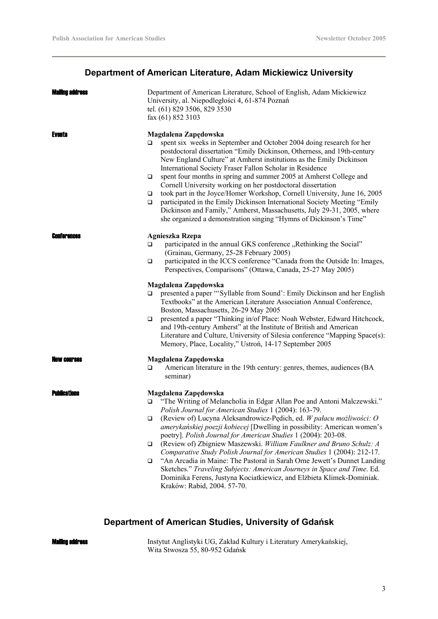# **Department of American Literature, Adam Mickiewicz University**

| Mailing address    | Department of American Literature, School of English, Adam Mickiewicz<br>University, al. Niepodległości 4, 61-874 Poznań<br>tel. (61) 829 3506, 829 3530<br>fax (61) 852 3103                                                                                                                                                                                                                                                                                                                                                                                                                                                                                                                                                                                                                                                 |
|--------------------|-------------------------------------------------------------------------------------------------------------------------------------------------------------------------------------------------------------------------------------------------------------------------------------------------------------------------------------------------------------------------------------------------------------------------------------------------------------------------------------------------------------------------------------------------------------------------------------------------------------------------------------------------------------------------------------------------------------------------------------------------------------------------------------------------------------------------------|
| <b>Events</b>      | Magdalena Zapędowska<br>spent six weeks in September and October 2004 doing research for her<br>❏<br>postdoctoral dissertation "Emily Dickinson, Otherness, and 19th-century<br>New England Culture" at Amherst institutions as the Emily Dickinson<br>International Society Fraser Fallon Scholar in Residence<br>spent four months in spring and summer 2005 at Amherst College and<br>□<br>Cornell University working on her postdoctoral dissertation<br>took part in the Joyce/Homer Workshop, Cornell University, June 16, 2005<br>$\Box$<br>participated in the Emily Dickinson International Society Meeting "Emily<br>◘<br>Dickinson and Family," Amherst, Massachusetts, July 29-31, 2005, where<br>she organized a demonstration singing "Hymns of Dickinson's Time"                                               |
| Conferences        | Agnieszka Rzepa<br>participated in the annual GKS conference "Rethinking the Social"<br>$\Box$<br>(Grainau, Germany, 25-28 February 2005)<br>participated in the ICCS conference "Canada from the Outside In: Images,<br>$\Box$<br>Perspectives, Comparisons" (Ottawa, Canada, 25-27 May 2005)<br>Magdalena Zapędowska<br>presented a paper "Syllable from Sound': Emily Dickinson and her English<br>□<br>Textbooks" at the American Literature Association Annual Conference,<br>Boston, Massachusetts, 26-29 May 2005<br>presented a paper "Thinking in/of Place: Noah Webster, Edward Hitchcock,<br>❏<br>and 19th-century Amherst" at the Institute of British and American<br>Literature and Culture, University of Silesia conference "Mapping Space(s):<br>Memory, Place, Locality," Ustroń, 14-17 September 2005      |
| AW ENIFSAS         | Magdalena Zapędowska<br>American literature in the 19th century: genres, themes, audiences (BA<br>❏<br>seminar)                                                                                                                                                                                                                                                                                                                                                                                                                                                                                                                                                                                                                                                                                                               |
| <b>Punneations</b> | Magdalena Zapędowska<br>"The Writing of Melancholia in Edgar Allan Poe and Antoni Malczewski."<br>□<br>Polish Journal for American Studies 1 (2004): 163-79.<br>(Review of) Lucyna Aleksandrowicz-Pędich, ed. W pałacu możliwości: O<br>$\Box$<br>amerykańskiej poezji kobiecej [Dwelling in possibility: American women's<br>poetry]. Polish Journal for American Studies 1 (2004): 203-08.<br>(Review of) Zbigniew Maszewski. William Faulkner and Bruno Schulz: A<br>□<br>Comparative Study Polish Journal for American Studies 1 (2004): 212-17.<br>"An Arcadia in Maine: The Pastoral in Sarah Orne Jewett's Dunnet Landing<br>$\Box$<br>Sketches." Traveling Subjects: American Journeys in Space and Time. Ed.<br>Dominika Ferens, Justyna Kociatkiewicz, and Elżbieta Klimek-Dominiak.<br>Kraków: Rabid, 2004. 57-70. |

# **Department of American Studies, University of Gdańsk**

#### Mailing address

Instytut Anglistyki UG, Zakład Kultury i Literatury Amerykańskiej, Wita Stwosza 55, 80-952 Gdańsk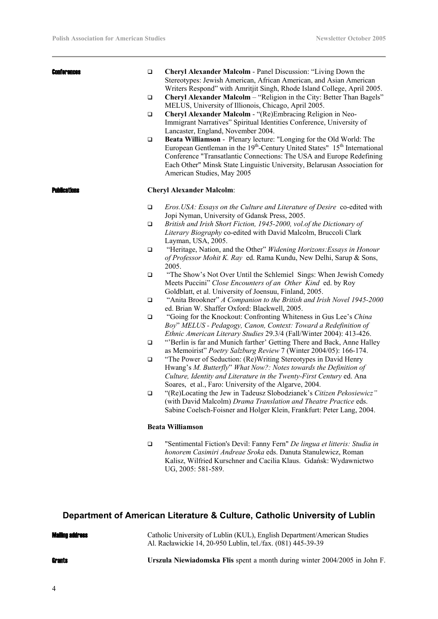| Conferences         | $\Box$<br>$\Box$<br>$\Box$<br>$\Box$ | Cheryl Alexander Malcolm - Panel Discussion: "Living Down the<br>Stereotypes: Jewish American, African American, and Asian American<br>Writers Respond" with Amritjit Singh, Rhode Island College, April 2005.<br>Cheryl Alexander Malcolm - "Religion in the City: Better Than Bagels"<br>MELUS, University of Illionois, Chicago, April 2005.<br>Cheryl Alexander Malcolm - "(Re)Embracing Religion in Neo-<br>Immigrant Narratives" Spiritual Identities Conference, University of<br>Lancaster, England, November 2004.<br>Beata Williamson - Plenary lecture: "Longing for the Old World: The<br>European Gentleman in the 19 <sup>th</sup> -Century United States" 15 <sup>th</sup> International<br>Conference "Transatlantic Connections: The USA and Europe Redefining<br>Each Other" Minsk State Linguistic University, Belarusan Association for<br>American Studies, May 2005 |
|---------------------|--------------------------------------|-------------------------------------------------------------------------------------------------------------------------------------------------------------------------------------------------------------------------------------------------------------------------------------------------------------------------------------------------------------------------------------------------------------------------------------------------------------------------------------------------------------------------------------------------------------------------------------------------------------------------------------------------------------------------------------------------------------------------------------------------------------------------------------------------------------------------------------------------------------------------------------------|
| <b>Publications</b> |                                      | <b>Cheryl Alexander Malcolm:</b>                                                                                                                                                                                                                                                                                                                                                                                                                                                                                                                                                                                                                                                                                                                                                                                                                                                          |
|                     | $\Box$<br>□                          | Eros. USA: Essays on the Culture and Literature of Desire co-edited with<br>Jopi Nyman, University of Gdansk Press, 2005.<br>British and Irish Short Fiction, 1945-2000, vol.of the Dictionary of                                                                                                                                                                                                                                                                                                                                                                                                                                                                                                                                                                                                                                                                                         |
|                     | $\Box$                               | Literary Biography co-edited with David Malcolm, Bruccoli Clark<br>Layman, USA, 2005.<br>"Heritage, Nation, and the Other" Widening Horizons: Essays in Honour<br>of Professor Mohit K. Ray ed. Rama Kundu, New Delhi, Sarup & Sons,                                                                                                                                                                                                                                                                                                                                                                                                                                                                                                                                                                                                                                                      |
|                     | ❏                                    | 2005.<br>"The Show's Not Over Until the Schlemiel Sings: When Jewish Comedy<br>Meets Puccini" Close Encounters of an Other Kind ed. by Roy<br>Goldblatt, et al. University of Joensuu, Finland, 2005.                                                                                                                                                                                                                                                                                                                                                                                                                                                                                                                                                                                                                                                                                     |
|                     | $\Box$                               | "Anita Brookner" A Companion to the British and Irish Novel 1945-2000<br>ed. Brian W. Shaffer Oxford: Blackwell, 2005.                                                                                                                                                                                                                                                                                                                                                                                                                                                                                                                                                                                                                                                                                                                                                                    |
|                     | $\Box$                               | "Going for the Knockout: Confronting Whiteness in Gus Lee's China<br>Boy" MELUS - Pedagogy, Canon, Context: Toward a Redefinition of<br>Ethnic American Literary Studies 29.3/4 (Fall/Winter 2004): 413-426.                                                                                                                                                                                                                                                                                                                                                                                                                                                                                                                                                                                                                                                                              |
|                     | $\Box$                               | "Berlin is far and Munich farther' Getting There and Back, Anne Halley<br>as Memoirist" Poetry Salzburg Review 7 (Winter 2004/05): 166-174.                                                                                                                                                                                                                                                                                                                                                                                                                                                                                                                                                                                                                                                                                                                                               |
|                     | $\Box$                               | "The Power of Seduction: (Re) Writing Stereotypes in David Henry<br>Hwang's M. Butterfly" What Now?: Notes towards the Definition of<br>Culture, Identity and Literature in the Twenty-First Century ed. Ana<br>Soares, et al., Faro: University of the Algarve, 2004.                                                                                                                                                                                                                                                                                                                                                                                                                                                                                                                                                                                                                    |
|                     | ❏                                    | "(Re)Locating the Jew in Tadeusz Slobodzianek's Citizen Pekosiewicz"<br>(with David Malcolm) Drama Translation and Theatre Practice eds.<br>Sabine Coelsch-Foisner and Holger Klein, Frankfurt: Peter Lang, 2004.                                                                                                                                                                                                                                                                                                                                                                                                                                                                                                                                                                                                                                                                         |
|                     |                                      | <b>Beata Williamson</b>                                                                                                                                                                                                                                                                                                                                                                                                                                                                                                                                                                                                                                                                                                                                                                                                                                                                   |
|                     | $\Box$                               | "Sentimental Fiction's Devil: Fanny Fern" De lingua et litteris: Studia in<br>honorem Casimiri Andreae Sroka eds. Danuta Stanulewicz, Roman<br>Kalisz, Wilfried Kurschner and Cacilia Klaus. Gdańsk: Wydawnictwo<br>UG, 2005: 581-589.                                                                                                                                                                                                                                                                                                                                                                                                                                                                                                                                                                                                                                                    |
|                     |                                      |                                                                                                                                                                                                                                                                                                                                                                                                                                                                                                                                                                                                                                                                                                                                                                                                                                                                                           |

# **Department of American Literature & Culture, Catholic University of Lublin**

### Mailing address

Catholic University of Lublin (KUL), English Department/American Studies Al. Racławickie 14, 20-950 Lublin, tel./fax. (081) 445-39-39

Grants **Urszula Niewiadomska Flis** spent a month during winter 2004/2005 in John F.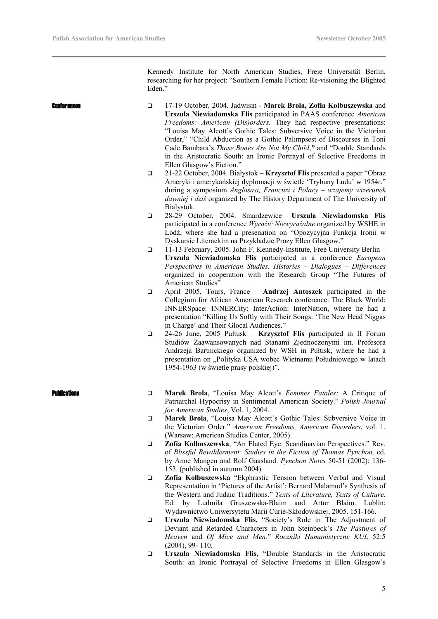Kennedy Institute for North American Studies, Freie Universität Berlin, researching for her project: "Southern Female Fiction: Re-visioning the Blighted Eden."

| <b>Conferences</b> | $\Box$<br>□ | 17-19 October, 2004. Jadwisin - Marek Brola, Zofia Kolbuszewska and<br>Urszula Niewiadomska Flis participated in PAAS conference American<br>Freedoms: American (Dis)orders. They had respective presentations:<br>"Louisa May Alcott's Gothic Tales: Subversive Voice in the Victorian<br>Order," "Child Abduction as a Gothic Palimpsest of Discourses in Toni<br>Cade Bambara's Those Bones Are Not My Child," and "Double Standards<br>in the Aristocratic South: an Ironic Portrayal of Selective Freedoms in<br>Ellen Glasgow's Fiction."<br>21-22 October, 2004. Białystok – Krzysztof Flis presented a paper "Obraz |
|--------------------|-------------|-----------------------------------------------------------------------------------------------------------------------------------------------------------------------------------------------------------------------------------------------------------------------------------------------------------------------------------------------------------------------------------------------------------------------------------------------------------------------------------------------------------------------------------------------------------------------------------------------------------------------------|
|                    |             | Ameryki i amerykańskiej dyplomacji w świetle 'Trybuny Ludu' w 1954r."<br>during a symposium Anglosasi, Francuzi i Polacy - wzajemy wizerunek<br>dawniej i dziś organized by The History Department of The University of<br>Bialystok.                                                                                                                                                                                                                                                                                                                                                                                       |
|                    | $\Box$      | 28-29 October, 2004. Smardzewice -Urszula Niewiadomska Flis<br>participated in a conference Wyraźić Niewyrażalne organized by WSHE in<br>Łódź, where she had a presenation on "Opozycyjna Funkcja Ironii w<br>Dyskursie Literackim na Przykładzie Prozy Ellen Glasgow."                                                                                                                                                                                                                                                                                                                                                     |
|                    | $\Box$      | 11-13 February, 2005. John F. Kennedy-Institute, Free University Berlin -<br>Urszula Niewiadomska Flis participated in a conference European<br>Perspectives in American Studies. Histories - Dialogues - Differences<br>organized in cooperation with the Research Group "The Futures of<br>American Studies"                                                                                                                                                                                                                                                                                                              |
|                    | $\Box$      | April 2005, Tours, France - Andrzej Antoszek participated in the<br>Collegium for African American Research conference: The Black World:<br>INNERSpace: INNERCity: InterAction: InterNation, where he had a<br>presentation "Killing Us Softly with Their Songs: 'The New Head Niggas<br>in Charge' and Their Glocal Audiences."                                                                                                                                                                                                                                                                                            |
|                    | $\Box$      | 24-26 June, 2005 Pułtusk – Krzysztof Flis participated in II Forum<br>Studiów Zaawansowanych nad Stanami Zjednoczonymi im. Profesora<br>Andrzeja Bartnickiego organized by WSH in Pułtisk, where he had a<br>presentation on "Polityka USA wobec Wietnamu Południowego w latach<br>1954-1963 (w świetle prasy polskiej)".                                                                                                                                                                                                                                                                                                   |
| 'uhlieationa       | ❏           | Marek Brola, "Louisa May Alcott's Femmes Fatales: A Critique of<br>Patriarchal Hypocrisy in Sentimental American Society." Polish Journal<br>for American Studies, Vol. 1, 2004.                                                                                                                                                                                                                                                                                                                                                                                                                                            |
|                    | $\Box$      | Marek Brola, "Louisa May Alcott's Gothic Tales: Subversive Voice in<br>the Victorian Order." American Freedoms, American Disorders, vol. 1.<br>(Warsaw: American Studies Center, 2005).                                                                                                                                                                                                                                                                                                                                                                                                                                     |
|                    | $\Box$      | Zofia Kolbuszewska, "An Elated Eye: Scandinavian Perspectives." Rev.<br>of Blissful Bewilderment: Studies in the Fiction of Thomas Pynchon, ed.<br>by Anne Mangen and Rolf Gaasland. Pynchon Notes 50-51 (2002): 136-<br>153. (published in autumn 2004)                                                                                                                                                                                                                                                                                                                                                                    |
|                    | □           | Zofia Kolbuszewska "Ekphrastic Tension between Verbal and Visual<br>Representation in 'Pictures of the Artist': Bernard Malamud's Synthesis of<br>the Western and Judaic Traditions." Texts of Literature, Texts of Culture.<br>by Ludmiła Gruszewska-Blaim and Artur Blaim. Lublin:<br>Ed.                                                                                                                                                                                                                                                                                                                                 |
|                    | □           | Wydawnictwo Uniwersytetu Marii Curie-Skłodowskiej, 2005. 151-166.<br>Urszula Niewiadomska Flis, "Society's Role in The Adjustment of<br>Deviant and Retarded Characters in John Steinbeck's The Pastures of<br>Heaven and Of Mice and Men." Roczniki Humanistyczne KUL 52:5                                                                                                                                                                                                                                                                                                                                                 |

(2004), 99- 110*.* **Urszula Niewiadomska Flis,** "Double Standards in the Aristocratic South: an Ironic Portrayal of Selective Freedoms in Ellen Glasgow's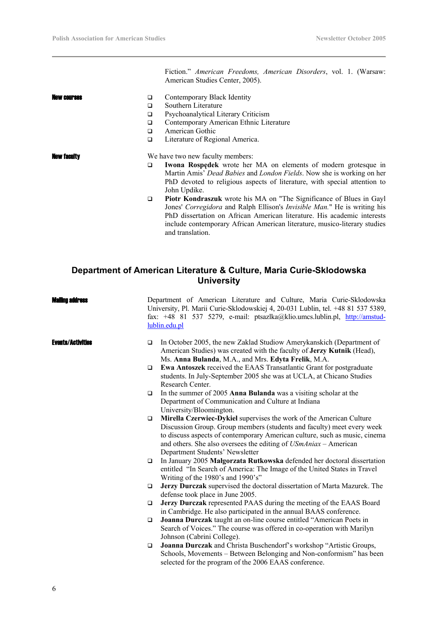Fiction." *American Freedoms, American Disorders*, vol. 1. (Warsaw: American Studies Center, 2005).

- **New courses**  $\Box$  Contemporary Black Identity
	- Southern Literature
	- □ Psychoanalytical Literary Criticism
	- Contemporary American Ethnic Literature
	- **American Gothic**

John Updike.

□ Literature of Regional America.

- **New faculty** We have two new faculty members: **Iwona Rospędek** wrote her MA on elements of modern grotesque in Martin Amis' *Dead Babies* and *London Fields*. Now she is working on her PhD devoted to religious aspects of literature, with special attention to
	- **Piotr Kondraszuk** wrote his MA on "The Significance of Blues in Gayl Jones' *Corregidora* and Ralph Ellison's *Invisible Man.*" He is writing his PhD dissertation on African American literature. His academic interests include contemporary African American literature, musico-literary studies and translation.

## **Department of American Literature & Culture, Maria Curie-Sklodowska University**

| Mailing address          | Department of American Literature and Culture, Maria Curie-Sklodowska<br>University, Pl. Marii Curie-Sklodowskiej 4, 20-031 Lublin, tel. +48 81 537 5389,<br>fax: +48 81 537 5279, e-mail: ptsazlka@klio.umcs.lublin.pl, http://amstud-<br>lublin.edu.pl                                                                                     |
|--------------------------|----------------------------------------------------------------------------------------------------------------------------------------------------------------------------------------------------------------------------------------------------------------------------------------------------------------------------------------------|
| <b>Events/Activities</b> | In October 2005, the new Zaklad Studiow Amerykanskich (Department of<br>$\Box$<br>American Studies) was created with the faculty of Jerzy Kutnik (Head),<br>Ms. Anna Bulanda, M.A., and Mrs. Edyta Frelik, M.A.                                                                                                                              |
|                          | Ewa Antoszek received the EAAS Transatlantic Grant for postgraduate<br>$\Box$<br>students. In July-September 2005 she was at UCLA, at Chicano Studies<br>Research Center.                                                                                                                                                                    |
|                          | In the summer of 2005 Anna Bulanda was a visiting scholar at the<br>$\Box$<br>Department of Communication and Culture at Indiana<br>University/Bloomington.                                                                                                                                                                                  |
|                          | Mirella Czerwiec-Dykiel supervises the work of the American Culture<br>$\Box$<br>Discussion Group. Group members (students and faculty) meet every week<br>to discuss aspects of contemporary American culture, such as music, cinema<br>and others. She also oversees the editing of USmAniax – American<br>Department Students' Newsletter |
|                          | In January 2005 Małgorzata Rutkowska defended her doctoral dissertation<br>$\Box$<br>entitled "In Search of America: The Image of the United States in Travel<br>Writing of the 1980's and 1990's"                                                                                                                                           |
|                          | Jerzy Durczak supervised the doctoral dissertation of Marta Mazurek. The<br>$\Box$<br>defense took place in June 2005.                                                                                                                                                                                                                       |
|                          | Jerzy Durczak represented PAAS during the meeting of the EAAS Board<br>$\Box$<br>in Cambridge. He also participated in the annual BAAS conference.                                                                                                                                                                                           |
|                          | Joanna Durczak taught an on-line course entitled "American Poets in<br>$\Box$<br>Search of Voices." The course was offered in co-operation with Marilyn<br>Johnson (Cabrini College).                                                                                                                                                        |
|                          | Joanna Durczak and Christa Buschendorf's workshop "Artistic Groups,<br>$\Box$<br>Schools, Movements – Between Belonging and Non-conformism" has been<br>selected for the program of the 2006 EAAS conference.                                                                                                                                |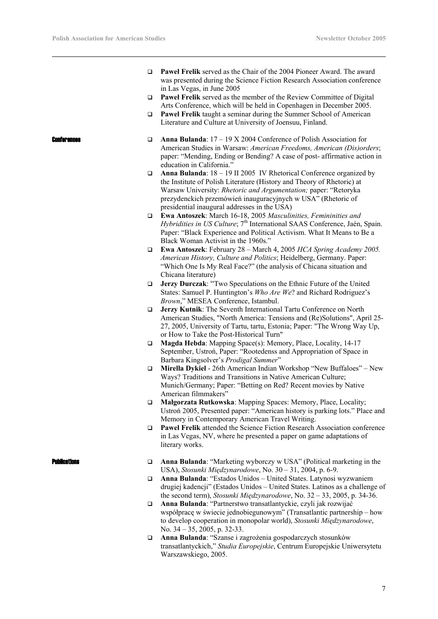- **Paweł Frelik** served as the Chair of the 2004 Pioneer Award. The award was presented during the Science Fiction Research Association conference in Las Vegas, in June 2005
- **Paweł Frelik** served as the member of the Review Committee of Digital Arts Conference, which will be held in Copenhagen in December 2005.
- **Pawel Frelik** taught a seminar during the Summer School of American Literature and Culture at University of Joensuu, Finland.

- **Conferences □** Anna Bulanda: 17 19 X 2004 Conference of Polish Association for American Studies in Warsaw: *American Freedoms, American (Dis)orders*; paper: "Mending, Ending or Bending? A case of post- affirmative action in education in California."
	- **Anna Bulanda**: 18 19 II 2005 IV Rhetorical Conference organized by the Institute of Polish Literature (History and Theory of Rhetoric) at Warsaw University: *Rhetoric and Argumentation;* paper: "Retoryka prezydenckich przemówień inauguracyjnych w USA" (Rhetoric of presidential inaugural addresses in the USA)
	- **Ewa Antoszek**: March 16-18, 2005 *Masculinities, Femininities and Hybridities in US Culture*; 7<sup>th</sup> International SAAS Conference, Jaén, Spain. Paper: "Black Experience and Political Activism. What It Means to Be a Black Woman Activist in the 1960s."
	- **Ewa Antoszek**: February 28 March 4, 2005 *HCA Spring Academy 2005. American History, Culture and Politics*; Heidelberg, Germany. Paper: "Which One Is My Real Face?" (the analysis of Chicana situation and Chicana literature)
	- **Jerzy Durczak**: "Two Speculations on the Ethnic Future of the United States: Samuel P. Huntington's *Who Are We*? and Richard Rodriguez's *Brown*," MESEA Conference, Istambul.
	- **Jerzy Kutnik**: The Seventh International Tartu Conference on North American Studies, "North America: Tensions and (Re)Solutions", April 25- 27, 2005, University of Tartu, tartu, Estonia; Paper: "The Wrong Way Up, or How to Take the Post-Historical Turn"
	- **Magda Hebda**: Mapping Space(s): Memory, Place, Locality, 14-17 September, Ustroń, Paper: "Rootedenss and Appropriation of Space in Barbara Kingsolver's *Prodigal Summer*"
	- **Mirella Dykiel** 26th American Indian Workshop "New Buffaloes" New Ways? Traditions and Transitions in Native American Culture; Munich/Germany; Paper: "Betting on Red? Recent movies by Native American filmmakers"
	- **Małgorzata Rutkowska**: Mapping Spaces: Memory, Place, Locality; Ustroń 2005, Presented paper: "American history is parking lots." Place and Memory in Contemporary American Travel Writing.
	- **Pawel Frelik** attended the Science Fiction Research Association conference in Las Vegas, NV, where he presented a paper on game adaptations of literary works.

- **Dublications Anna Bulanda**: "Marketing wyborczy w USA" (Political marketing in the USA), *Stosunki Międzynarodowe*, No. 30 – 31, 2004, p. 6-9.
	- **Anna Bulanda**: "Estados Unidos United States. Latynosi wyzwaniem drugiej kadencji" (Estados Unidos – United States. Latinos as a challenge of the second term), *Stosunki Międzynarodowe*, No. 32 – 33, 2005, p. 34-36.
	- **Anna Bulanda**: "Partnerstwo transatlantyckie, czyli jak rozwijać współpracę w świecie jednobiegunowym" (Transatlantic partnership – how to develop cooperation in monopolar world), *Stosunki Międzynarodowe*, No. 34 – 35, 2005, p. 32-33.
	- **Anna Bulanda**: "Szanse i zagrożenia gospodarczych stosunków transatlantyckich," *Studia Europejskie*, Centrum Europejskie Uniwersytetu Warszawskiego, 2005.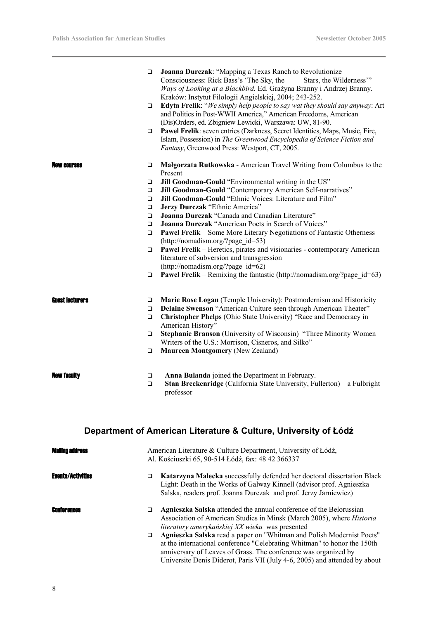|                   |                  | Consciousness: Rick Bass's 'The Sky, the<br>Stars, the Wilderness"<br>Ways of Looking at a Blackbird. Ed. Grażyna Branny i Andrzej Branny.<br>Kraków: Instytut Filologii Angielskiej, 2004; 243-252.      |
|-------------------|------------------|-----------------------------------------------------------------------------------------------------------------------------------------------------------------------------------------------------------|
|                   | $\Box$           | Edyta Frelik: "We simply help people to say wat they should say anyway: Art<br>and Politics in Post-WWII America," American Freedoms, American<br>(Dis)Orders, ed. Zbigniew Lewicki, Warszawa: UW, 81-90. |
|                   | □                | Pawel Frelik: seven entries (Darkness, Secret Identities, Maps, Music, Fire,<br>Islam, Possession) in The Greenwood Encyclopedia of Science Fiction and<br>Fantasy, Greenwood Press: Westport, CT, 2005.  |
| <b>AW COUPSAS</b> | $\Box$           | Małgorzata Rutkowska - American Travel Writing from Columbus to the<br>Present                                                                                                                            |
|                   | $\Box$           | Jill Goodman-Gould "Environmental writing in the US"                                                                                                                                                      |
|                   | $\Box$           | Jill Goodman-Gould "Contemporary American Self-narratives"                                                                                                                                                |
|                   | □                | Jill Goodman-Gould "Ethnic Voices: Literature and Film"                                                                                                                                                   |
|                   | □                | Jerzy Durczak "Ethnic America"                                                                                                                                                                            |
|                   | $\Box$<br>$\Box$ | Joanna Durczak "Canada and Canadian Literature"<br>Joanna Durczak "American Poets in Search of Voices"                                                                                                    |
|                   | $\Box$           | <b>Pawel Frelik</b> – Some More Literary Negotiations of Fantastic Otherness                                                                                                                              |
|                   |                  | (http://nomadism.org/?page id=53)                                                                                                                                                                         |
|                   | $\Box$           | Pawel Frelik - Heretics, pirates and visionaries - contemporary American                                                                                                                                  |
|                   |                  | literature of subversion and transgression                                                                                                                                                                |
|                   |                  | $(http://nomadism.org/?page id=62)$                                                                                                                                                                       |
|                   | □                | <b>Pawel Frelik</b> – Remixing the fantastic (http://nomadism.org/?page $id=63$ )                                                                                                                         |
| Guest lecturers   | $\Box$           | Marie Rose Logan (Temple University): Postmodernism and Historicity                                                                                                                                       |
|                   | $\Box$           | Delaine Swenson "American Culture seen through American Theater"                                                                                                                                          |
|                   | $\Box$           | Christopher Phelps (Ohio State University) "Race and Democracy in                                                                                                                                         |
|                   | $\Box$           | American History"<br>Stephanie Branson (University of Wisconsin) "Three Minority Women                                                                                                                    |
|                   |                  | Writers of the U.S.: Morrison, Cisneros, and Silko"                                                                                                                                                       |
|                   | $\Box$           | <b>Maureen Montgomery (New Zealand)</b>                                                                                                                                                                   |
| NAW Tacuity       | $\Box$<br>$\Box$ | Anna Bulanda joined the Department in February.<br>Stan Breckenridge (California State University, Fullerton) - a Fulbright<br>professor                                                                  |
|                   |                  |                                                                                                                                                                                                           |

**Joanna Durczak**: "Mapping a Texas Ranch to Revolutionize

# **Department of American Literature & Culture, University of Łódź**

| <b>Mailing address</b>   | American Literature & Culture Department, University of Łódź,<br>Al. Kościuszki 65, 90-514 Łódź, fax: 48 42 366337                                                                                                                                                                                      |
|--------------------------|---------------------------------------------------------------------------------------------------------------------------------------------------------------------------------------------------------------------------------------------------------------------------------------------------------|
| <b>Events/Activities</b> | Katarzyna Malecka successfully defended her doctoral dissertation Black<br>□<br>Light: Death in the Works of Galway Kinnell (advisor prof. Agnieszka<br>Salska, readers prof. Joanna Durczak and prof. Jerzy Jarniewicz)                                                                                |
| <b>Conferences</b>       | <b>Agnieszka Salska</b> attended the annual conference of the Belorussian<br>□<br>Association of American Studies in Minsk (March 2005), where <i>Historia</i><br>literatury amerykańskiej XX wieku was presented                                                                                       |
|                          | Agnieszka Salska read a paper on "Whitman and Polish Modernist Poets"<br>□<br>at the international conference "Celebrating Whitman" to honor the 150th<br>anniversary of Leaves of Grass. The conference was organized by<br>Universite Denis Diderot, Paris VII (July 4-6, 2005) and attended by about |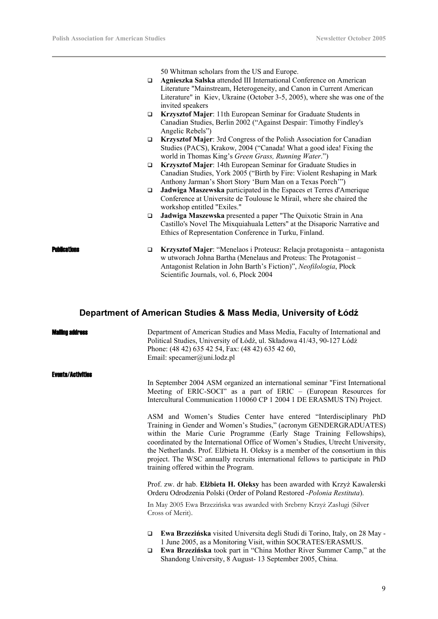50 Whitman scholars from the US and Europe.

- **Agnieszka Salska** attended III International Conference on American Literature "Mainstream, Heterogeneity, and Canon in Current American Literature" in Kiev, Ukraine (October 3-5, 2005), where she was one of the invited speakers
- **Krzysztof Majer**: 11th European Seminar for Graduate Students in Canadian Studies, Berlin 2002 ("Against Despair: Timothy Findley's Angelic Rebels")
- **Krzysztof Majer**: 3rd Congress of the Polish Association for Canadian Studies (PACS), Krakow, 2004 ("Canada! What a good idea! Fixing the world in Thomas King's *Green Grass, Running Water*.")
- **Krzysztof Majer**: 14th European Seminar for Graduate Studies in Canadian Studies, York 2005 ("Birth by Fire: Violent Reshaping in Mark Anthony Jarman's Short Story 'Burn Man on a Texas Porch'")
- **Jadwiga Maszewska** participated in the Espaces et Terres d'Amerique Conference at Universite de Toulouse le Mirail, where she chaired the workshop entitled "Exiles."
- **Jadwiga Maszewska** presented a paper "The Quixotic Strain in Ana Castillo's Novel The Mixquiahuala Letters" at the Disaporic Narrative and Ethics of Representation Conference in Turku, Finland.
- Publications **Krzysztof Majer**: "Menelaos i Proteusz: Relacja protagonista antagonista w utworach Johna Bartha (Menelaus and Proteus: The Protagonist – Antagonist Relation in John Barth's Fiction)", *Neofilologia*, Płock Scientific Journals, vol. 6, Płock 2004

## **Department of American Studies & Mass Media, University of Łódź**

#### iling address

Department of American Studies and Mass Media, Faculty of International and Political Studies, University of Łódź, ul. Składowa 41/43, 90-127 Łódź Phone: (48 42) 635 42 54, Fax: (48 42) 635 42 60, Email: specamer@uni.lodz.pl

#### Events/Activities

In September 2004 ASM organized an international seminar "First International Meeting of ERIC-SOCI" as a part of ERIC – (European Resources for Intercultural Communication 110060 CP 1 2004 1 DE ERASMUS TN) Project.

ASM and Women's Studies Center have entered "Interdisciplinary PhD Training in Gender and Women's Studies," (acronym GENDERGRADUATES) within the Marie Curie Programme (Early Stage Training Fellowships), coordinated by the International Office of Women's Studies, Utrecht University, the Netherlands. Prof. Elżbieta H. Oleksy is a member of the consortium in this project. The WSC annually recruits international fellows to participate in PhD training offered within the Program.

Prof. zw. dr hab. **Elżbieta H. Oleksy** has been awarded with Krzyż Kawalerski Orderu Odrodzenia Polski (Order of Poland Restored -*Polonia Restituta*).

In May 2005 Ewa Brzezińska was awarded with Srebrny Krzyż Zasługi (Silver Cross of Merit).

- **Ewa Brzezińska** visited Universita degli Studi di Torino, Italy, on 28 May 1 June 2005, as a Monitoring Visit, within SOCRATES/ERASMUS.
- **Ewa Brzezińska** took part in "China Mother River Summer Camp," at the Shandong University, 8 August- 13 September 2005, China.

9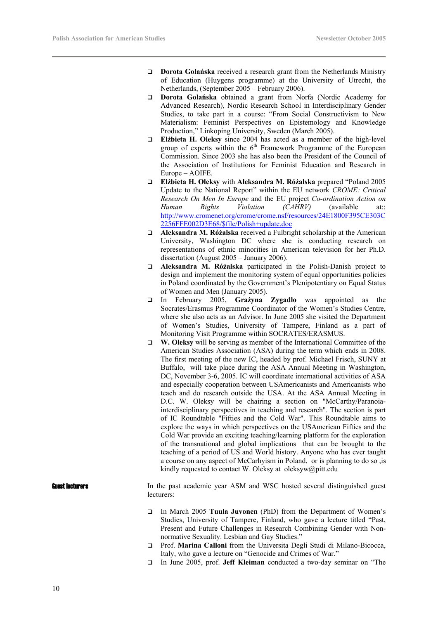- **Dorota Golanska** received a research grant from the Netherlands Ministry of Education (Huygens programme) at the University of Utrecht, the Netherlands, (September 2005 – February 2006).
- **Dorota Golańska** obtained a grant from Norfa (Nordic Academy for Advanced Research), Nordic Research School in Interdisciplinary Gender Studies, to take part in a course: "From Social Constructivism to New Materialism: Feminist Perspectives on Epistemology and Knowledge Production," Linkoping University, Sweden (March 2005).
- **Elżbieta H. Oleksy** since 2004 has acted as a member of the high-level group of experts within the  $6<sup>th</sup>$  Framework Programme of the European Commission. Since 2003 she has also been the President of the Council of the Association of Institutions for Feminist Education and Research in Europe – AOIFE.
- **Elżbieta H. Oleksy** with **Aleksandra M. Różalska** prepared "Poland 2005 Update to the National Report" within the EU network *CROME: Critical Research On Men In Europe* and the EU project *Co-ordination Action on Human Rights Violation (CAHRV)* (available at:: http://www.cromenet.org/crome/crome.nsf/resources/24E1800F395CE303C 2256FFE002D3E68/\$file/Polish+update.doc
- **Aleksandra M. Różalska** received a Fulbright scholarship at the American University, Washington DC where she is conducting research on representations of ethnic minorities in American television for her Ph.D. dissertation (August 2005 – January 2006).
- **Aleksandra M. Różalska** participated in the Polish-Danish project to design and implement the monitoring system of equal opportunities policies in Poland coordinated by the Government's Plenipotentiary on Equal Status of Women and Men (January 2005).
- In February 2005, **Grażyna Zygadło** was appointed as the Socrates/Erasmus Programme Coordinator of the Women's Studies Centre, where she also acts as an Advisor. In June 2005 she visited the Department of Women's Studies, University of Tampere, Finland as a part of Monitoring Visit Programme within SOCRATES/ERASMUS.
- **W. Oleksy** will be serving as member of the International Committee of the American Studies Association (ASA) during the term which ends in 2008. The first meeting of the new IC, headed by prof. Michael Frisch, SUNY at Buffalo, will take place during the ASA Annual Meeting in Washington, DC, November 3-6, 2005. IC will coordinate international activities of ASA and especially cooperation between USAmericanists and Americanists who teach and do research outside the USA. At the ASA Annual Meeting in D.C. W. Oleksy will be chairing a section on "McCarthy/Paranoiainterdisciplinary perspectives in teaching and research". The section is part of IC Roundtable "Fifties and the Cold War". This Roundtable aims to explore the ways in which perspectives on the USAmerican Fifties and the Cold War provide an exciting teaching/learning platform for the exploration of the transnational and global implications that can be brought to the teaching of a period of US and World history. Anyone who has ever taught a course on any aspect of McCarhyism in Poland, or is planning to do so ,is kindly requested to contact W. Oleksy at oleksyw@pitt.edu

### **EXECULTERTS** In the past academic year ASM and WSC hosted several distinguished guest lecturers:

- In March 2005 **Tuula Juvonen** (PhD) from the Department of Women's Studies, University of Tampere, Finland, who gave a lecture titled "Past, Present and Future Challenges in Research Combining Gender with Nonnormative Sexuality. Lesbian and Gay Studies."
- Prof. **Marina Calloni** from the Universita Degli Studi di Milano-Bicocca, Italy, who gave a lecture on "Genocide and Crimes of War."
- In June 2005, prof. **Jeff Kleiman** conducted a two-day seminar on "The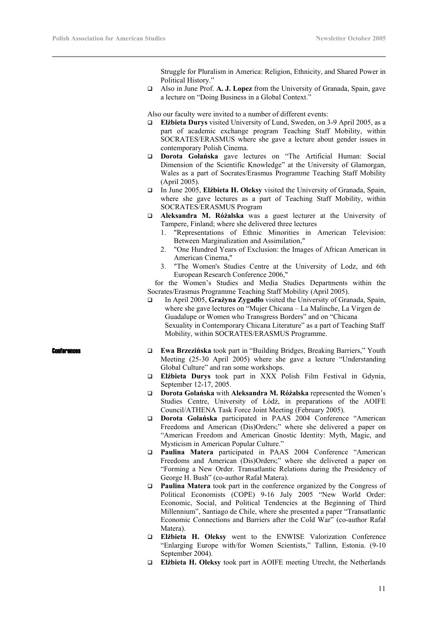Struggle for Pluralism in America: Religion, Ethnicity, and Shared Power in Political History."

 Also in June Prof. **A. J. Lopez** from the University of Granada, Spain, gave a lecture on "Doing Business in a Global Context."

Also our faculty were invited to a number of different events:

- **Elżbieta Durys** visited University of Lund, Sweden, on 3-9 April 2005, as a part of academic exchange program Teaching Staff Mobility, within SOCRATES/ERASMUS where she gave a lecture about gender issues in contemporary Polish Cinema.
- **Dorota Golańska** gave lectures on "The Artificial Human: Social Dimension of the Scientific Knowledge" at the University of Glamorgan, Wales as a part of Socrates/Erasmus Programme Teaching Staff Mobility (April 2005).
- In June 2005, **Elżbieta H. Oleksy** visited the University of Granada, Spain, where she gave lectures as a part of Teaching Staff Mobility, within SOCRATES/ERASMUS Program
- **Aleksandra M. Różalska** was a guest lecturer at the University of Tampere, Finland; where she delivered three lectures
	- 1. "Representations of Ethnic Minorities in American Television: Between Marginalization and Assimilation,"
	- 2. "One Hundred Years of Exclusion: the Images of African American in American Cinema,"
	- 3. "The Women's Studies Centre at the University of Lodz, and 6th European Research Conference 2006,"

 for the Women's Studies and Media Studies Departments within the Socrates/Erasmus Programme Teaching Staff Mobility (April 2005).

 In April 2005, **Grażyna Zygadło** visited the University of Granada, Spain, where she gave lectures on "Mujer Chicana – La Malinche, La Virgen de Guadalupe or Women who Transgress Borders" and on "Chicana Sexuality in Contemporary Chicana Literature" as a part of Teaching Staff Mobility, within SOCRATES/ERASMUS Programme.

- Conferences **Ewa Brzezińska** took part in "Building Bridges, Breaking Barriers," Youth Meeting (25-30 April 2005) where she gave a lecture "Understanding Global Culture" and ran some workshops.
	- **Elżbieta Durys** took part in XXX Polish Film Festival in Gdynia, September 12-17, 2005.
	- **Dorota Golańska** with **Aleksandra M. Różalska** represented the Women's Studies Centre, University of Łódź, in preparations of the AOIFE Council/ATHENA Task Force Joint Meeting (February 2005).
	- **Dorota Golańska** participated in PAAS 2004 Conference "American Freedoms and American (Dis)Orders;" where she delivered a paper on "American Freedom and American Gnostic Identity: Myth, Magic, and Mysticism in American Popular Culture."
	- **Paulina Matera** participated in PAAS 2004 Conference "American Freedoms and American (Dis)Orders;" where she delivered a paper on "Forming a New Order. Transatlantic Relations during the Presidency of George H. Bush" (co-author Rafał Matera).
	- **Paulina Matera** took part in the conference organized by the Congress of Political Economists (COPE) 9-16 July 2005 "New World Order: Economic, Social, and Political Tendencies at the Beginning of Third Millennium", Santiago de Chile, where she presented a paper "Transatlantic Economic Connections and Barriers after the Cold War" (co-author Rafał Matera).
	- **Elżbieta H. Oleksy** went to the ENWISE Valorization Conference "Enlarging Europe with/for Women Scientists," Tallinn, Estonia. (9-10 September 2004).
	- **Elżbieta H. Oleksy** took part in AOIFE meeting Utrecht, the Netherlands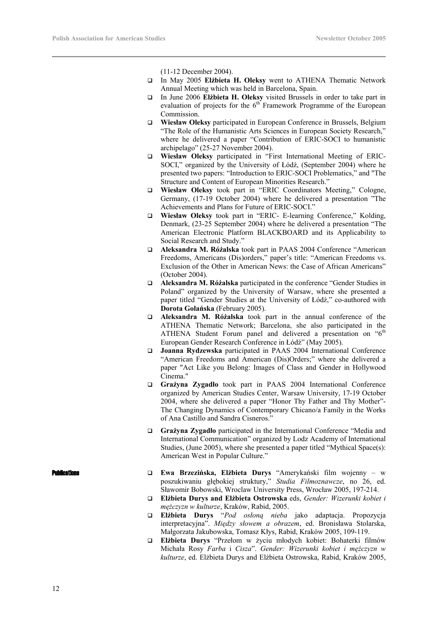(11-12 December 2004).

- In May 2005 **Elżbieta H. Oleksy** went to ATHENA Thematic Network Annual Meeting which was held in Barcelona, Spain.
- In June 2006 **Elżbieta H. Oleksy** visited Brussels in order to take part in evaluation of projects for the  $6<sup>th</sup>$  Framework Programme of the European Commission.
- **Wiesław Oleksy** participated in European Conference in Brussels, Belgium "The Role of the Humanistic Arts Sciences in European Society Research," where he delivered a paper "Contribution of ERIC-SOCI to humanistic archipelago" (25-27 November 2004).
- **Wiesław Oleksy** participated in "First International Meeting of ERIC-SOCI," organized by the University of Łódź, (September 2004) where he presented two papers: "Introduction to ERIC-SOCI Problematics," and "The Structure and Content of European Minorities Research."
- **Wiesław Oleksy** took part in "ERIC Coordinators Meeting," Cologne, Germany, (17-19 October 2004) where he delivered a presentation "The Achievements and Plans for Future of ERIC-SOCI."
- **Wiesław Oleksy** took part in "ERIC- E-learning Conference," Kolding, Denmark, (23-25 September 2004) where he delivered a presentation "The American Electronic Platform BLACKBOARD and its Applicability to Social Research and Study."
- **Aleksandra M. Różalska** took part in PAAS 2004 Conference "American Freedoms, Americans (Dis)orders," paper's title: "American Freedoms vs. Exclusion of the Other in American News: the Case of African Americans" (October 2004).
- **Aleksandra M. Różalska** participated in the conference "Gender Studies in Poland" organized by the University of Warsaw, where she presented a paper titled "Gender Studies at the University of Łódź," co-authored with **Dorota Golańska** (February 2005).
- **Aleksandra M. Różalska** took part in the annual conference of the ATHENA Thematic Network; Barcelona, she also participated in the ATHENA Student Forum panel and delivered a presentation on "6<sup>th</sup> European Gender Research Conference in Łódź" (May 2005).
- **Joanna Rydzewska** participated in PAAS 2004 International Conference "American Freedoms and American (Dis)Orders;" where she delivered a paper "Act Like you Belong: Images of Class and Gender in Hollywood Cinema."
- **Grażyna Zygadło** took part in PAAS 2004 International Conference organized by American Studies Center, Warsaw University, 17-19 October 2004, where she delivered a paper "Honor Thy Father and Thy Mother"- The Changing Dynamics of Contemporary Chicano/a Family in the Works of Ana Castillo and Sandra Cisneros."
- **Grażyna Zygadło** participated in the International Conference "Media and International Communication" organized by Lodz Academy of International Studies, (June 2005), where she presented a paper titled "Mythical Space(s): American West in Popular Culture."

- - Publications **Ewa Brzezińska, Elżbieta Durys** "Amerykański film wojenny w poszukiwaniu głębokiej struktury," *Studia Filmoznawcze*, no 26, ed. Sławomir Bobowski, Wroclaw University Press, Wrocław 2005, 197-214.
		- **Elżbieta Durys and Elżbieta Ostrowska** eds, *Gender: Wizerunki kobiet i mężczyzn w kulturze*, Kraków, Rabid, 2005.
		- **Elżbieta Durys** "*Pod osłoną nieba* jako adaptacja. Propozycja interpretacyjna". *Między słowem a obrazem*, ed. Bronisława Stolarska, Małgorzata Jakubowska, Tomasz Kłys, Rabid, Kraków 2005, 109-119.
		- **Elżbieta Durys** "Przełom w życiu młodych kobiet: Bohaterki filmów Michała Rosy *Farba* i *Cisza*". *Gender: Wizerunki kobiet i mężczyzn w kulturze*, ed. Elżbieta Durys and Elżbieta Ostrowska, Rabid, Kraków 2005,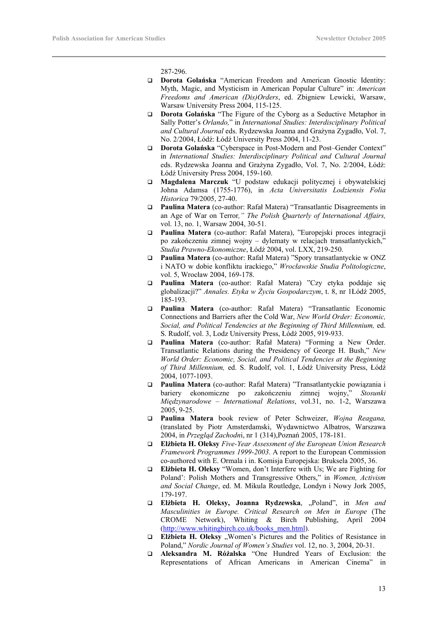287-296.

- **Dorota Golańska** "American Freedom and American Gnostic Identity: Myth, Magic, and Mysticism in American Popular Culture" in: *American Freedoms and American (Dis)Orders*, ed. Zbigniew Lewicki, Warsaw, Warsaw University Press 2004, 115-125.
- **Dorota Golańska** "The Figure of the Cyborg as a Seductive Metaphor in Sally Potter's *Orlando,*" in *International Studies: Interdisciplinary Political and Cultural Journal* eds. Rydzewska Joanna and Grażyna Zygadło, Vol. 7, No. 2/2004, Łódź: Łódź University Press 2004, 11-23.
- **Dorota Golańska** "Cyberspace in Post-Modern and Post–Gender Context" in *International Studies: Interdisciplinary Political and Cultural Journal* eds. Rydzewska Joanna and Grażyna Zygadło, Vol. 7, No. 2/2004, Łódź: Łódź University Press 2004, 159-160.
- **Magdalena Marczuk** "U podstaw edukacji politycznej i obywatelskiej Johna Adamsa (1755-1776), in *Acta Universitatis Lodziensis Folia Historica* 79/2005, 27-40.
- **Paulina Matera** (co-author: Rafał Matera) "Transatlantic Disagreements in an Age of War on Terror*," The Polish Quarterly of International Affairs,* vol. 13, no. 1, Warsaw 2004, 30-51.
- **Paulina Matera** (co-author: Rafał Matera), "Europejski proces integracji po zakończeniu zimnej wojny – dylematy w relacjach transatlantyckich," *Studia Prawno-Ekonomiczne*, Łódź 2004, vol. LXX, 219-250.
- **Paulina Matera** (co-author: Rafał Matera) "Spory transatlantyckie w ONZ i NATO w dobie konfliktu irackiego," *Wrocławskie Studia Politologiczne*, vol. 5, Wrocław 2004, 169-178.
- **Paulina Matera** (co-author: Rafał Matera) "Czy etyka poddaje się globalizacji?" *Annales. Etyka w Życiu Gospodarczym*, t. 8, nr 1Łódź 2005, 185-193.
- **Paulina Matera** (co-author: Rafał Matera) "Transatlantic Economic Connections and Barriers after the Cold War, *New World Order: Economic, Social, and Political Tendencies at the Beginning of Third Millennium,* ed. S. Rudolf, vol. 3, Lodz University Press, Łódź 2005, 919-933.
- **Paulina Matera** (co-author: Rafał Matera) "Forming a New Order. Transatlantic Relations during the Presidency of George H. Bush," *New World Order: Economic, Social, and Political Tendencies at the Beginning of Third Millennium,* ed. S. Rudolf, vol. 1, Łódź University Press, Łódź 2004, 1077-1093.
- **Paulina Matera** (co-author: Rafał Matera) "Transatlantyckie powiązania i bariery ekonomiczne po zakończeniu zimnej wojny," *Stosunki Międzynarodowe – International Relations*, vol.31, no. 1-2, Warszawa 2005, 9-25.
- **Paulina Matera** book review of Peter Schweizer, *Wojna Reagana,*  (translated by Piotr Amsterdamski, Wydawnictwo Albatros, Warszawa 2004, in *Przegląd Zachodn*i, nr 1 (314),Poznań 2005, 178-181.
- **Elżbieta H. Oleksy** *Five-Year Assessment of the European Union Research Framework Programmes 1999-2003*. A report to the European Commission co-authored with E. Ormala i in. Komisja Europejska: Bruksela 2005, 36.
- **Elżbieta H. Oleksy** "Women, don't Interfere with Us; We are Fighting for Poland': Polish Mothers and Transgressive Others," in *Women, Activism and Social Change*, ed. M. Mikula Routledge, Londyn i Nowy Jork 2005, 179-197.
- **Elżbieta H. Oleksy, Joanna Rydzewska**, "Poland", in *Men and Masculinities in Europe. Critical Research on Men in Europe* (The CROME Network), Whiting & Birch Publishing, April 2004 (http://www.whitingbirch.co.uk/books\_men.html).
- **Elżbieta H. Oleksy "Women's Pictures and the Politics of Resistance in** Poland," *Nordic Journal of Women's Studies* vol. 12, no. 3, 2004, 20-31.
- **Aleksandra M. Różalska** "One Hundred Years of Exclusion: the Representations of African Americans in American Cinema" in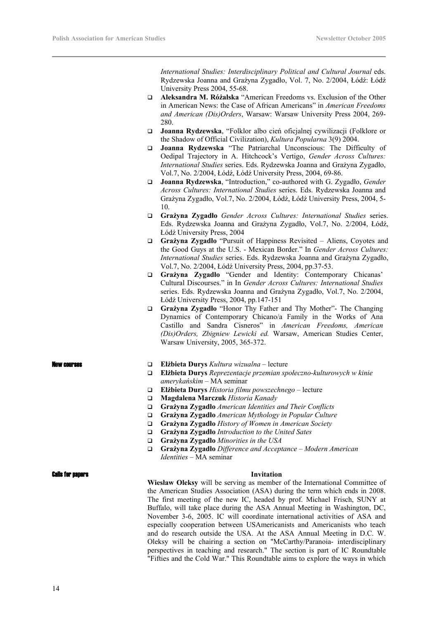*International Studies: Interdisciplinary Political and Cultural Journal* eds. Rydzewska Joanna and Grażyna Zygadło, Vol. 7, No. 2/2004, Łódź: Łódź University Press 2004, 55-68.

- **Aleksandra M. Różalska** "American Freedoms vs. Exclusion of the Other in American News: the Case of African Americans" in *American Freedoms and American (Dis)Orders*, Warsaw: Warsaw University Press 2004, 269- 280.
- **Joanna Rydzewska**, "Folklor albo cień oficjalnej cywilizacji (Folklore or the Shadow of Official Civilization), *Kultura Popularna* 3(9) 2004.
- **Joanna Rydzewska** "The Patriarchal Unconscious: The Difficulty of Oedipal Trajectory in A. Hitchcock's Vertigo, *Gender Across Cultures: International Studies* series. Eds. Rydzewska Joanna and Grażyna Zygadło, Vol.7, No. 2/2004, Łódź, Łódź University Press, 2004, 69-86.
- **Joanna Rydzewska**, "Introduction," co-authored with G. Zygadło, *Gender Across Cultures: International Studies* series. Eds. Rydzewska Joanna and Grażyna Zygadło, Vol.7, No. 2/2004, Łódź, Łódź University Press, 2004, 5- 10.
- **Grażyna Zygadło** *Gender Across Cultures: International Studies* series. Eds. Rydzewska Joanna and Grażyna Zygadło, Vol.7, No. 2/2004, Łódź, Łódź University Press, 2004
- **Grażyna Zygadło** "Pursuit of Happiness Revisited Aliens, Coyotes and the Good Guys at the U.S. - Mexican Border." In *Gender Across Cultures: International Studies* series. Eds. Rydzewska Joanna and Grażyna Zygadło, Vol.7, No. 2/2004, Łódź University Press, 2004, pp.37-53.
- **Grażyna Zygadło** "Gender and Identity: Contemporary Chicanas' Cultural Discourses." in In *Gender Across Cultures: International Studies* series. Eds. Rydzewska Joanna and Grażyna Zygadło, Vol.7, No. 2/2004, Łódź University Press, 2004, pp.147-151
- **Grażyna Zygadło** "Honor Thy Father and Thy Mother"- The Changing Dynamics of Contemporary Chicano/a Family in the Works of Ana Castillo and Sandra Cisneros" in *American Freedoms, American (Dis)Orders, Zbigniew Lewicki ed.* Warsaw, American Studies Center, Warsaw University, 2005, 365-372.

- New courses **Elżbieta Durys** *Kultura wizualna*  lecture
	- **Elżbieta Durys** *Reprezentacje przemian społeczno-kulturowych w kinie amerykańskim* – MA seminar
	- **Elżbieta Durys** *Historia filmu powszechnego* lecture
	- **Magdalena Marczuk** *Historia Kanady*
	- **Grażyna Zygadło** *American Identities and Their Conflicts*
	- **Grażyna Zygadło** *American Mythology in Popular Culture*
	- **Grażyna Zygadło** *History of Women in American Society*
	- **Grażyna Zygadło** *Introduction to the United Sates*
	- **Grażyna Zygadło** *Minorities in the USA*
	- **Grażyna Zygadło** *Difference and Acceptance Modern American Identities* – MA seminar

#### Calls for papers **Invitation**

**Wiesław Oleksy** will be serving as member of the International Committee of the American Studies Association (ASA) during the term which ends in 2008. The first meeting of the new IC, headed by prof. Michael Frisch, SUNY at Buffalo, will take place during the ASA Annual Meeting in Washington, DC, November 3-6, 2005. IC will coordinate international activities of ASA and especially cooperation between USAmericanists and Americanists who teach and do research outside the USA. At the ASA Annual Meeting in D.C. W. Oleksy will be chairing a section on "McCarthy/Paranoia- interdisciplinary perspectives in teaching and research." The section is part of IC Roundtable "Fifties and the Cold War." This Roundtable aims to explore the ways in which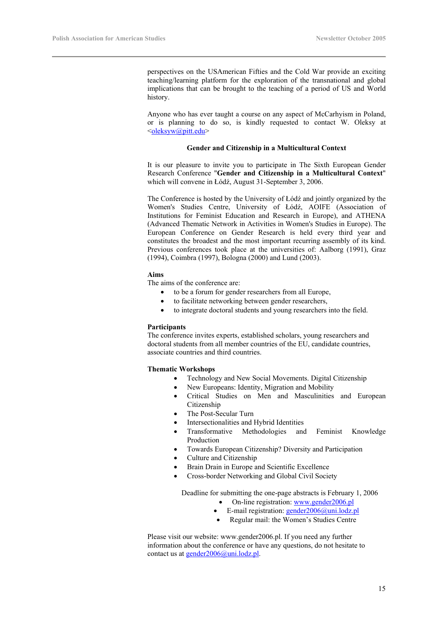perspectives on the USAmerican Fifties and the Cold War provide an exciting teaching/learning platform for the exploration of the transnational and global implications that can be brought to the teaching of a period of US and World history.

Anyone who has ever taught a course on any aspect of McCarhyism in Poland, or is planning to do so, is kindly requested to contact W. Oleksy at <oleksyw@pitt.edu>

#### **Gender and Citizenship in a Multicultural Context**

It is our pleasure to invite you to participate in The Sixth European Gender Research Conference "**Gender and Citizenship in a Multicultural Context**" which will convene in Łódź, August 31-September 3, 2006.

The Conference is hosted by the University of Łódź and jointly organized by the Women's Studies Centre, University of Łódź, AOIFE (Association of Institutions for Feminist Education and Research in Europe), and ATHENA (Advanced Thematic Network in Activities in Women's Studies in Europe). The European Conference on Gender Research is held every third year and constitutes the broadest and the most important recurring assembly of its kind. Previous conferences took place at the universities of: Aalborg (1991), Graz (1994), Coimbra (1997), Bologna (2000) and Lund (2003).

#### **Aims**

The aims of the conference are:

- to be a forum for gender researchers from all Europe,
- to facilitate networking between gender researchers,
- to integrate doctoral students and young researchers into the field.

#### **Participants**

The conference invites experts, established scholars, young researchers and doctoral students from all member countries of the EU, candidate countries, associate countries and third countries.

#### **Thematic Workshops**

- Technology and New Social Movements. Digital Citizenship
- New Europeans: Identity, Migration and Mobility
- Critical Studies on Men and Masculinities and European Citizenship
- The Post-Secular Turn
- Intersectionalities and Hybrid Identities
- Transformative Methodologies and Feminist Knowledge Production
- Towards European Citizenship? Diversity and Participation
- Culture and Citizenship
- Brain Drain in Europe and Scientific Excellence
- Cross-border Networking and Global Civil Society

Deadline for submitting the one-page abstracts is February 1, 2006

- On-line registration: www.gender2006.pl
- E-mail registration: gender2006@uni.lodz.pl
- Regular mail: the Women's Studies Centre

Please visit our website: www.gender2006.pl. If you need any further information about the conference or have any questions, do not hesitate to contact us at gender2006@uni.lodz.pl.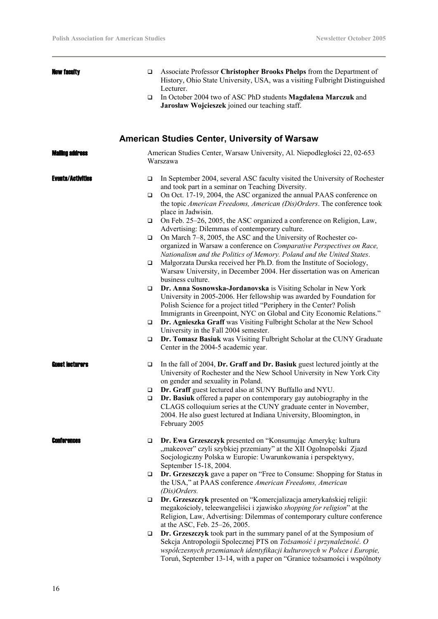| New faculty              | ❏      | Associate Professor Christopher Brooks Phelps from the Department of<br>History, Ohio State University, USA, was a visiting Fulbright Distinguished<br>Lecturer.                                                                                                                                 |
|--------------------------|--------|--------------------------------------------------------------------------------------------------------------------------------------------------------------------------------------------------------------------------------------------------------------------------------------------------|
|                          | $\Box$ | In October 2004 two of ASC PhD students Magdalena Marczuk and<br>Jarosław Wojcieszek joined our teaching staff.                                                                                                                                                                                  |
|                          |        | <b>American Studies Center, University of Warsaw</b>                                                                                                                                                                                                                                             |
| Waling address           |        | American Studies Center, Warsaw University, Al. Niepodległości 22, 02-653<br>Warszawa                                                                                                                                                                                                            |
| <b>Events/Activities</b> | $\Box$ | In September 2004, several ASC faculty visited the University of Rochester<br>and took part in a seminar on Teaching Diversity.                                                                                                                                                                  |
|                          | $\Box$ | On Oct. 17-19, 2004, the ASC organized the annual PAAS conference on<br>the topic American Freedoms, American (Dis)Orders. The conference took<br>place in Jadwisin.                                                                                                                             |
|                          | $\Box$ | On Feb. 25-26, 2005, the ASC organized a conference on Religion, Law,<br>Advertising: Dilemmas of contemporary culture.                                                                                                                                                                          |
|                          | $\Box$ | On March 7-8, 2005, the ASC and the University of Rochester co-<br>organized in Warsaw a conference on Comparative Perspectives on Race,<br>Nationalism and the Politics of Memory. Poland and the United States.                                                                                |
|                          | $\Box$ | Małgorzata Durska received her Ph.D. from the Institute of Sociology,<br>Warsaw University, in December 2004. Her dissertation was on American<br>business culture.                                                                                                                              |
|                          | $\Box$ | Dr. Anna Sosnowska-Jordanovska is Visiting Scholar in New York<br>University in 2005-2006. Her fellowship was awarded by Foundation for<br>Polish Science for a project titled "Periphery in the Center? Polish<br>Immigrants in Greenpoint, NYC on Global and City Economic Relations."         |
|                          | $\Box$ | Dr. Agnieszka Graff was Visiting Fulbright Scholar at the New School<br>University in the Fall 2004 semester.                                                                                                                                                                                    |
|                          | $\Box$ | Dr. Tomasz Basiuk was Visiting Fulbright Scholar at the CUNY Graduate<br>Center in the 2004-5 academic year.                                                                                                                                                                                     |
| Guest Iecturers          | $\Box$ | In the fall of 2004, Dr. Graff and Dr. Basiuk guest lectured jointly at the<br>University of Rochester and the New School University in New York City<br>on gender and sexuality in Poland.                                                                                                      |
|                          | ❏      | Dr. Graff guest lectured also at SUNY Buffallo and NYU.                                                                                                                                                                                                                                          |
|                          | ⊔      | Dr. Basiuk offered a paper on contemporary gay autobiography in the<br>CLAGS colloquium series at the CUNY graduate center in November,<br>2004. He also guest lectured at Indiana University, Bloomington, in<br>February 2005                                                                  |
| <b>anterences</b>        | $\Box$ | Dr. Ewa Grzeszczyk presented on "Konsumując Amerykę: kultura<br>"makeover" czyli szybkiej przemiany" at the XII Ogolnopolski Zjazd<br>Socjologiczny Polska w Europie: Uwarunkowania i perspektywy,<br>September 15-18, 2004.                                                                     |
|                          | $\Box$ | Dr. Grzeszczyk gave a paper on "Free to Consume: Shopping for Status in<br>the USA," at PAAS conference American Freedoms, American<br>(Dis) Orders.                                                                                                                                             |
|                          | $\Box$ | Dr. Grzeszczyk presented on "Komercjalizacja amerykańskiej religii:<br>megakościoły, teleewangeliści i zjawisko shopping for religion" at the<br>Religion, Law, Advertising: Dilemmas of contemporary culture conference<br>at the ASC, Feb. 25–26, 2005.                                        |
|                          | $\Box$ | Dr. Grzeszczyk took part in the summary panel of at the Symposium of<br>Sekcja Antropologii Spolecznej PTS on Tożsamość i przynależność. O<br>współczesnych przemianach identyfikacji kulturowych w Polsce i Europie,<br>Toruń, September 13-14, with a paper on "Granice tożsamości i wspólnoty |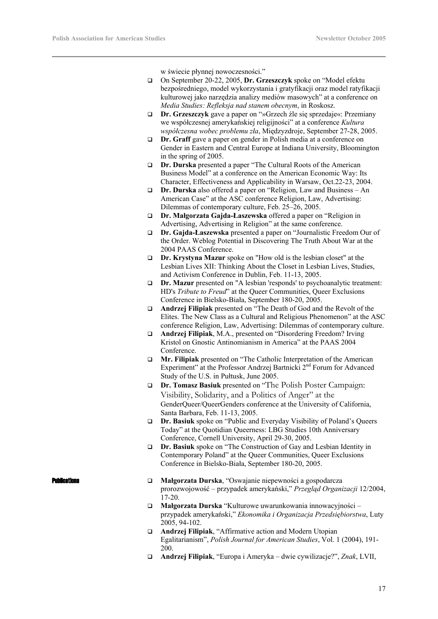w świecie płynnej nowoczesności."

- On September 20-22, 2005, **Dr. Grzeszczyk** spoke on "Model efektu bezpośredniego, model wykorzystania i gratyfikacji oraz model ratyfikacji kulturowej jako narzędzia analizy mediów masowych" at a conference on *Media Studies: Refleksja nad stanem obecnym*, in Roskosz.
- **Dr. Grzeszczyk** gave a paper on "»Grzech źle się sprzedaje«: Przemiany we współczesnej amerykańskiej religijności" at a conference *Kultura współczesna wobec problemu zła*, Międzyzdroje, September 27-28, 2005.
- **Dr. Graff** gave a paper on gender in Polish media at a conference on Gender in Eastern and Central Europe at Indiana University, Bloomington in the spring of 2005.
- **Dr. Durska** presented a paper "The Cultural Roots of the American Business Model" at a conference on the American Economic Way: Its Character, Effectiveness and Applicability in Warsaw, Oct.22-23, 2004.
- **Dr. Durska** also offered a paper on "Religion, Law and Business An American Case" at the ASC conference Religion, Law, Advertising: Dilemmas of contemporary culture, Feb. 25–26, 2005.
- **Dr. Małgorzata Gajda-Łaszewska** offered a paper on "Religion in Advertising, Advertising in Religion" at the same conference.
- **Dr. Gajda-Łaszewska** presented a paper on "Journalistic Freedom Our of the Order. Weblog Potential in Discovering The Truth About War at the 2004 PAAS Conference.
- **Dr. Krystyna Mazur** spoke on "How old is the lesbian closet" at the Lesbian Lives XII: Thinking About the Closet in Lesbian Lives, Studies, and Activism Conference in Dublin, Feb. 11-13, 2005.
- **Dr. Mazur** presented on "A lesbian 'responds' to psychoanalytic treatment: HD's *Tribute to Freud*" at the Queer Communities, Queer Exclusions Conference in Bielsko-Biała, September 180-20, 2005.
- **Andrzej Filipiak** presented on "The Death of God and the Revolt of the Elites. The New Class as a Cultural and Religious Phenomenon" at the ASC conference Religion, Law, Advertising: Dilemmas of contemporary culture.
- **Andrzej Filipiak**, M.A., presented on "Disordering Freedom? Irving Kristol on Gnostic Antinomianism in America" at the PAAS 2004 Conference.
- **Mr. Filipiak** presented on "The Catholic Interpretation of the American Experiment" at the Professor Andrzej Bartnicki 2<sup>nd</sup> Forum for Advanced Study of the U.S. in Pułtusk, June 2005.
- **Dr. Tomasz Basiuk** presented on "The Polish Poster Campaign: Visibility, Solidarity, and a Politics of Anger" at the GenderQueer/QueerGenders conference at the University of California, Santa Barbara, Feb. 11-13, 2005.
- **Dr. Basiuk** spoke on "Public and Everyday Visibility of Poland's Queers Today" at the Quotidian Queerness: LBG Studies 10th Anniversary Conference, Cornell University, April 29-30, 2005.
- **Dr. Basiuk** spoke on "The Construction of Gay and Lesbian Identity in Contemporary Poland" at the Queer Communities, Queer Exclusions Conference in Bielsko-Biała, September 180-20, 2005.

- Publications **Małgorzata Durska**, "Oswajanie niepewności a gospodarcza prorozwojowość – przypadek amerykański," *Przegląd Organizacji* 12/2004, 17-20.
	- **Małgorzata Durska** "Kulturowe uwarunkowania innowacyjności przypadek amerykański," *Ekonomika i Organizacja Przedsiębiorstwa*, Luty 2005, 94-102.
	- **Andrzej Filipiak**, "Affirmative action and Modern Utopian Egalitarianism", *Polish Journal for American Studies*, Vol. 1 (2004), 191- 200.
	- **Andrzej Filipiak**, "Europa i Ameryka dwie cywilizacje?", *Znak*, LVII,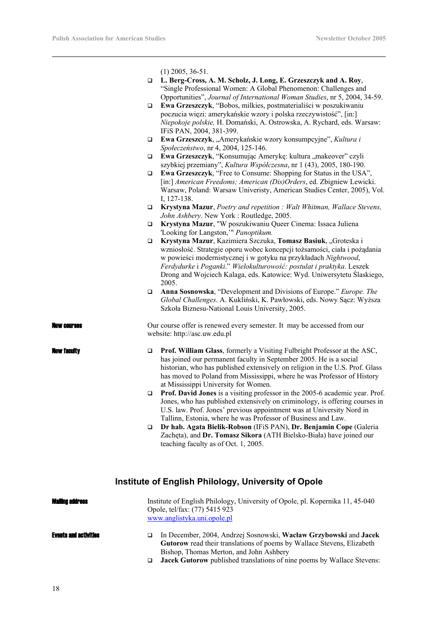|                |        | $(1)$ 2005, 36-51.                                                                                                                                                                                                                                                                                                                                        |
|----------------|--------|-----------------------------------------------------------------------------------------------------------------------------------------------------------------------------------------------------------------------------------------------------------------------------------------------------------------------------------------------------------|
|                | □      | L. Berg-Cross, A. M. Scholz, J. Long, E. Grzeszczyk and A. Roy,<br>"Single Professional Women: A Global Phenomenon: Challenges and<br>Opportunities", Journal of International Woman Studies, nr 5, 2004, 34-59.                                                                                                                                          |
|                | $\Box$ | Ewa Grzeszczyk, "Bobos, milkies, postmaterialiści w poszukiwaniu<br>poczucia więzi: amerykańskie wzory i polska rzeczywistość", [in:]<br>Niepokoje polskie, H. Domański, A. Ostrowska, A. Rychard, eds. Warsaw:<br>IFiS PAN, 2004, 381-399.                                                                                                               |
|                | □      | Ewa Grzeszczyk, "Amerykańskie wzory konsumpcyjne", Kultura i<br>Społeczeństwo, nr 4, 2004, 125-146.                                                                                                                                                                                                                                                       |
|                | □      | Ewa Grzeszczyk, "Konsumując Amerykę: kultura "makeover" czyli                                                                                                                                                                                                                                                                                             |
|                | □      | szybkiej przemiany", Kultura Współczesna, nr 1 (43), 2005, 180-190.<br><b>Ewa Grzeszczyk</b> , "Free to Consume: Shopping for Status in the USA",<br>[in:] American Freedoms; American (Dis)Orders, ed. Zbigniew Lewicki.<br>Warsaw, Poland: Warsaw Univeristy, American Studies Center, 2005), Vol.<br>I, 127-138.                                       |
|                | □      | Krystyna Mazur, Poetry and repetition : Walt Whitman, Wallace Stevens,<br>John Ashbery. New York: Routledge, 2005.                                                                                                                                                                                                                                        |
|                | $\Box$ | Krystyna Mazur, "W poszukiwaniu Queer Cinema: Issaca Juliena<br>'Looking for Langston,'" Panoptikum.                                                                                                                                                                                                                                                      |
|                | $\Box$ | Krystyna Mazur, Kazimiera Szczuka, Tomasz Basiuk, "Groteska i                                                                                                                                                                                                                                                                                             |
|                |        | wzniosłość. Strategie oporu wobec koncepcji tożsamości, ciała i pożądania<br>w powieści modernistycznej i w gotyku na przykładach Nightwood,<br>Ferdydurke i Poganki." Wielokulturowość: postulat i praktyka. Leszek<br>Drong and Wojciech Kalaga, eds. Katowice: Wyd. Uniwersytetu Ślaskiego,<br>2005.                                                   |
|                | $\Box$ | Anna Sosnowska, "Development and Divisions of Europe." Europe. The<br>Global Challenges. A. Kukliński, K. Pawłowski, eds. Nowy Sącz: Wyższa<br>Szkoła Biznesu-National Louis University, 2005.                                                                                                                                                            |
| New Courses    |        | Our course offer is renewed every semester. It may be accessed from our<br>website: http://asc.uw.edu.pl                                                                                                                                                                                                                                                  |
| New facuity    | $\Box$ | <b>Prof. William Glass</b> , formerly a Visiting Fulbright Professor at the ASC,<br>has joined our permanent faculty in September 2005. He is a social<br>historian, who has published extensively on religion in the U.S. Prof. Glass<br>has moved to Poland from Mississippi, where he was Professor of History<br>at Mississippi University for Women. |
|                | □      | Prof. David Jones is a visiting professor in the 2005-6 academic year. Prof.<br>Jones, who has published extensively on criminology, is offering courses in<br>U.S. law. Prof. Jones' previous appointment was at University Nord in<br>Tallinn, Estonia, where he was Professor of Business and Law.                                                     |
|                | $\Box$ | Dr hab. Agata Bielik-Robson (IFiS PAN), Dr. Benjamin Cope (Galeria<br>Zachęta), and Dr. Tomasz Sikora (ATH Bielsko-Biała) have joined our<br>teaching faculty as of Oct. 1, 2005.                                                                                                                                                                         |
|                |        | <b>Institute of English Philology, University of Opole</b>                                                                                                                                                                                                                                                                                                |
| Waling address |        | Institute of English Philology, University of Opole, pl. Kopernika 11, 45-040<br>Opole, tel/fax: (77) 5415 923                                                                                                                                                                                                                                            |

www.anglistyka.uni.opole.pl

Events and activities In December, 2004, Andrzej Sosnowski, **Wacław Grzybowski** and **Jacek Gutorow** read their translations of poems by Wallace Stevens, Elizabeth Bishop, Thomas Merton, and John Ashbery

**Jacek Gutorow** published translations of nine poems by Wallace Stevens: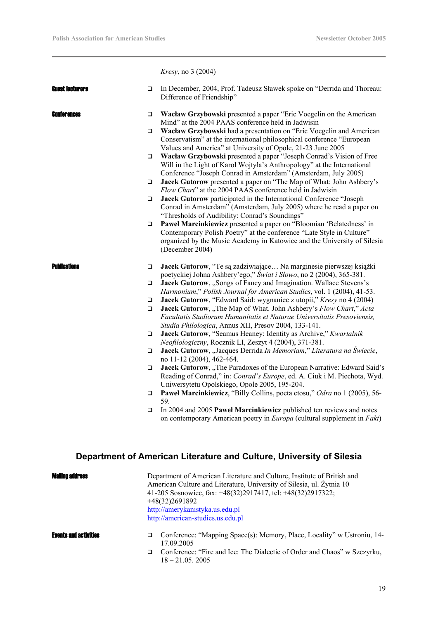|                        |             | <i>Kresy</i> , no 3 (2004)                                                                                                                                                                                                                                                  |
|------------------------|-------------|-----------------------------------------------------------------------------------------------------------------------------------------------------------------------------------------------------------------------------------------------------------------------------|
| <b>Guest iecturers</b> | $\Box$      | In December, 2004, Prof. Tadeusz Sławek spoke on "Derrida and Thoreau:<br>Difference of Friendship"                                                                                                                                                                         |
| Conferences            | □           | Wacław Grzybowski presented a paper "Eric Voegelin on the American                                                                                                                                                                                                          |
|                        | $\Box$      | Mind" at the 2004 PAAS conference held in Jadwisin<br>Wacław Grzybowski had a presentation on "Eric Voegelin and American<br>Conservatism" at the international philosophical conference "European<br>Values and America" at University of Opole, 21-23 June 2005           |
|                        | $\Box$      | Wacław Grzybowski presented a paper "Joseph Conrad's Vision of Free<br>Will in the Light of Karol Wojtyła's Anthropology" at the International<br>Conference "Joseph Conrad in Amsterdam" (Amsterdam, July 2005)                                                            |
|                        | $\Box$      | Jacek Gutorow presented a paper on "The Map of What: John Ashbery's<br>Flow Chart" at the 2004 PAAS conference held in Jadwisin                                                                                                                                             |
|                        | ❏           | Jacek Gutorow participated in the International Conference "Joseph<br>Conrad in Amsterdam" (Amsterdam, July 2005) where he read a paper on<br>"Thresholds of Audibility: Conrad's Soundings"                                                                                |
|                        | ❏           | Paweł Marcinkiewicz presented a paper on "Bloomian 'Belatedness' in<br>Contemporary Polish Poetry" at the conference "Late Style in Culture"<br>organized by the Music Academy in Katowice and the University of Silesia<br>(December 2004)                                 |
| <b>Publications</b>    | $\Box$      | Jacek Gutorow, "Te są zadziwiające Na marginesie pierwszej książki                                                                                                                                                                                                          |
|                        | □           | poetyckiej Johna Ashbery'ego," Świat i Słowo, no 2 (2004), 365-381.<br>Jacek Gutorow, "Songs of Fancy and Imagination. Wallace Stevens's<br>Harmonium," Polish Journal for American Studies, vol. 1 (2004), 41-53.                                                          |
|                        | □<br>$\Box$ | Jacek Gutorow, "Edward Said: wygnaniec z utopii," Kresy no 4 (2004)<br>Jacek Gutorow, "The Map of What. John Ashbery's Flow Chart," Acta<br>Facultatis Studiorum Humanitatis et Naturae Universitatis Presoviensis,<br>Studia Philologica, Annus XII, Presov 2004, 133-141. |
|                        | □           | Jacek Gutorow, "Seamus Heaney: Identity as Archive," Kwartalnik<br>Neofilologiczny, Rocznik LI, Zeszyt 4 (2004), 371-381.                                                                                                                                                   |
|                        | □           | Jacek Gutorow, "Jacques Derrida In Memoriam," Literatura na Świecie,                                                                                                                                                                                                        |
|                        | $\Box$      | no 11-12 (2004), 462-464.<br>Jacek Gutorow, "The Paradoxes of the European Narrative: Edward Said's<br>Reading of Conrad," in: Conrad's Europe, ed. A. Ciuk i M. Piechota, Wyd.<br>Uniwersytetu Opolskiego, Opole 2005, 195-204.                                            |
|                        | ❏           | <b>Pawel Marcinkiewicz</b> , "Billy Collins, poeta etosu," Odra no 1 (2005), 56-<br>59.                                                                                                                                                                                     |
|                        | □           | In 2004 and 2005 Pawel Marcinkiewicz published ten reviews and notes<br>on contemporary American poetry in <i>Europa</i> (cultural supplement in <i>Fakt</i> )                                                                                                              |
|                        |             | Department of American Literature and Culture, University of Silesia                                                                                                                                                                                                        |
|                        |             | Department of American Literature and Culture, Institute of British and<br>American Culture and Literature, University of Silesia, ul. Żytnia 10<br>41-205 Sosnowiec, fax: +48(32)2917417, tel: +48(32)2917322;<br>+48(32)2691892                                           |
|                        |             | $\cdot$ llomonu $\cdot$                                                                                                                                                                                                                                                     |

http://amerykanistyka.us.edu.pl http://american-studies.us.edu.pl

- **Events and activities**  $\square$  Conference: "Mapping Space(s): Memory, Place, Locality" w Ustroniu, 14-17.09.2005
	- □ Conference: "Fire and Ice: The Dialectic of Order and Chaos" w Szczyrku, 18 – 21.05. 2005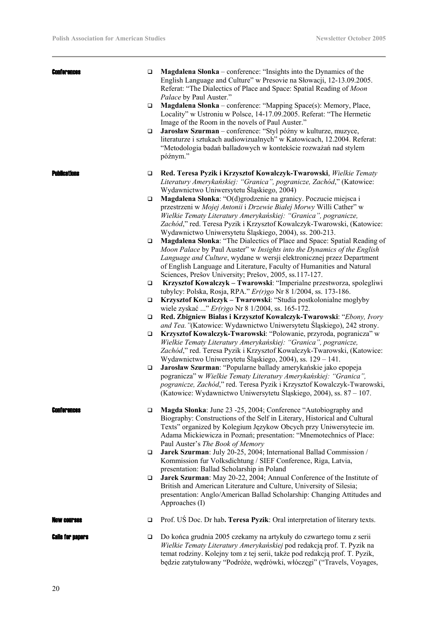| <b>Conferences</b>  | $\Box$ | Magdalena Słonka – conference: "Insights into the Dynamics of the<br>English Language and Culture" w Presovie na Słowacji, 12-13.09.2005.<br>Referat: "The Dialectics of Place and Space: Spatial Reading of Moon<br>Palace by Paul Auster."                                                                                                                    |
|---------------------|--------|-----------------------------------------------------------------------------------------------------------------------------------------------------------------------------------------------------------------------------------------------------------------------------------------------------------------------------------------------------------------|
|                     | $\Box$ | Magdalena Słonka – conference: "Mapping Space(s): Memory, Place,<br>Locality" w Ustroniu w Polsce, 14-17.09.2005. Referat: "The Hermetic<br>Image of the Room in the novels of Paul Auster."                                                                                                                                                                    |
|                     | $\Box$ | Jarosław Szurman - conference: "Styl późny w kulturze, muzyce,<br>literaturze i sztukach audiowizualnych" w Katowicach, 12.2004. Referat:<br>"Metodologia badań balladowych w kontekście rozważań nad stylem<br>późnym."                                                                                                                                        |
| <b>Publications</b> | $\Box$ | Red. Teresa Pyzik i Krzysztof Kowalczyk-Twarowski, Wielkie Tematy<br>Literatury Amerykańskiej: "Granica", pogranicze, Zachód," (Katowice:<br>Wydawnictwo Uniwersytetu Śląskiego, 2004)                                                                                                                                                                          |
|                     | $\Box$ | Magdalena Słonka: "O(d)grodzenie na granicy. Poczucie miejsca i<br>przestrzeni w Mojej Antonii i Drzewie Białej Morwy Willi Cather" w<br>Wielkie Tematy Literatury Amerykańskiej: "Granica", pogranicze,<br>Zachód," red. Teresa Pyzik i Krzysztof Kowalczyk-Twarowski, (Katowice:<br>Wydawnictwo Uniwersytetu Śląskiego, 2004), ss. 200-213.                   |
|                     | $\Box$ | Magdalena Słonka: "The Dialectics of Place and Space: Spatial Reading of<br>Moon Palace by Paul Auster" w Insights into the Dynamics of the English<br>Language and Culture, wydane w wersji elektronicznej przez Department<br>of English Language and Literature, Faculty of Humanities and Natural<br>Sciences, Prešov University; Prešov, 2005, ss.117-127. |
|                     | $\Box$ | Krzysztof Kowalczyk – Twarowski: "Imperialne przestworza, spolegliwi                                                                                                                                                                                                                                                                                            |
|                     | □      | tubylcy: Polska, Rosja, RPA." Er(r)go Nr 8 1/2004, ss. 173-186.<br>Krzysztof Kowalczyk – Twarowski: "Studia postkolonialne mogłyby<br>wiele zyskać " $Er(r)go$ Nr 8 1/2004, ss. 165-172.                                                                                                                                                                        |
|                     | $\Box$ | Red. Zbigniew Białas i Krzysztof Kowalczyk-Twarowski: "Ebony, Ivory                                                                                                                                                                                                                                                                                             |
|                     | $\Box$ | and Tea. "(Katowice: Wydawnictwo Uniwersytetu Śląskiego), 242 strony.<br>Krzysztof Kowalczyk-Twarowski: "Polowanie, przyroda, pogranicza" w<br>Wielkie Tematy Literatury Amerykańskiej: "Granica", pogranicze,<br>Zachód," red. Teresa Pyzik i Krzysztof Kowalczyk-Twarowski, (Katowice:<br>Wydawnictwo Uniwersytetu Śląskiego, 2004), ss. 129 – 141.           |
|                     | $\Box$ | Jarosław Szurman: "Popularne ballady amerykańskie jako epopeja<br>pogranicza" w Wielkie Tematy Literatury Amerykańskiej: "Granica",<br>pogranicze, Zachód," red. Teresa Pyzik i Krzysztof Kowalczyk-Twarowski,<br>(Katowice: Wydawnictwo Uniwersytetu Śląskiego, 2004), ss. 87 – 107.                                                                           |
|                     | □      | Magda Słonka: June 23 -25, 2004; Conference "Autobiography and<br>Biography: Constructions of the Self in Literary, Historical and Cultural<br>Texts" organized by Kolegium Językow Obcych przy Uniwersytecie im.<br>Adama Mickiewicza in Poznań; presentation: "Mnemotechnics of Place:<br>Paul Auster's The Book of Memory                                    |
|                     | $\Box$ | Jarek Szurman: July 20-25, 2004; International Ballad Commission /<br>Kommission fur Volksdichtung / SIEF Conference, Riga, Latvia,                                                                                                                                                                                                                             |
|                     | $\Box$ | presentation: Ballad Scholarship in Poland<br>Jarek Szurman: May 20-22, 2004; Annual Conference of the Institute of<br>British and American Literature and Culture, University of Silesia;<br>presentation: Anglo/American Ballad Scholarship: Changing Attitudes and<br>Approaches (I)                                                                         |
| AW COUTSUS          | $\Box$ | Prof. US Doc. Dr hab. Teresa Pyzik: Oral interpretation of literary texts.                                                                                                                                                                                                                                                                                      |
| Calls for Daders    | $\Box$ | Do końca grudnia 2005 czekamy na artykuły do czwartego tomu z serii<br>Wielkie Tematy Literatury Amerykańskiej pod redakcją prof. T. Pyzik na<br>temat rodziny. Kolejny tom z tej serii, także pod redakcją prof. T. Pyzik,<br>będzie zatytułowany "Podróże, wędrówki, włóczęgi" ("Travels, Voyages,                                                            |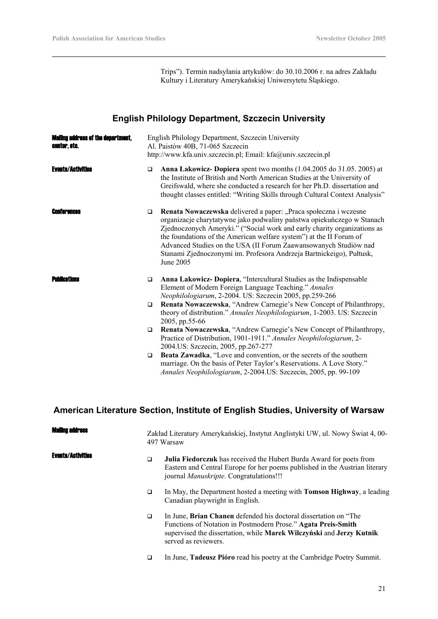Trips"). Termin nadsyłania artykułów: do 30.10.2006 r. na adres Zakładu Kultury i Literatury Amerykańskiej Uniwersytetu Śląskiego.

# **English Philology Department, Szczecin University**

| <b>Mailing address of the department.</b><br>center, etc. | English Philology Department, Szczecin University<br>Al. Paistów 40B, 71-065 Szczecin<br>http://www.kfa.univ.szczecin.pl; Email: kfa@univ.szczecin.pl |                                                                                                                                                                                                                                                                                                                                                                                                                                                        |  |
|-----------------------------------------------------------|-------------------------------------------------------------------------------------------------------------------------------------------------------|--------------------------------------------------------------------------------------------------------------------------------------------------------------------------------------------------------------------------------------------------------------------------------------------------------------------------------------------------------------------------------------------------------------------------------------------------------|--|
| <b>Events/Activities</b>                                  | $\Box$                                                                                                                                                | Anna Lakowicz-Dopiera spent two months (1.04.2005 do 31.05. 2005) at<br>the Institute of British and North American Studies at the University of<br>Greifswald, where she conducted a research for her Ph.D. dissertation and<br>thought classes entitled: "Writing Skills through Cultural Context Analysis"                                                                                                                                          |  |
| <b>Ennterences</b>                                        | $\Box$                                                                                                                                                | Renata Nowaczewska delivered a paper: "Praca społeczna i wczesne<br>organizacje charytatywne jako podwaliny państwa opiekuńczego w Stanach<br>Zjednoczonych Ameryki." ("Social work and early charity organizations as<br>the foundations of the American welfare system") at the II Forum of<br>Advanced Studies on the USA (II Forum Zaawansowanych Studiów nad<br>Stanami Zjednoczonymi im. Profesora Andrzeja Bartnickeigo), Pułtusk,<br>June 2005 |  |
| Publications                                              | $\Box$                                                                                                                                                | Anna Lakowicz- Dopiera, "Intercultural Studies as the Indispensable<br>Element of Modern Foreign Language Teaching." Annales<br>Neophilologiarum, 2-2004. US: Szczecin 2005, pp.259-266                                                                                                                                                                                                                                                                |  |
|                                                           | $\Box$                                                                                                                                                | Renata Nowaczewska, "Andrew Carnegie's New Concept of Philanthropy,<br>theory of distribution." Annales Neophilologiarum, 1-2003. US: Szczecin<br>2005, pp.55-66                                                                                                                                                                                                                                                                                       |  |
|                                                           | $\Box$                                                                                                                                                | Renata Nowaczewska, "Andrew Carnegie's New Concept of Philanthropy,<br>Practice of Distribution, 1901-1911." Annales Neophilologiarum, 2-<br>2004.US: Szczecin, 2005, pp.267-277                                                                                                                                                                                                                                                                       |  |
|                                                           | $\Box$                                                                                                                                                | Beata Zawadka, "Love and convention, or the secrets of the southern<br>marriage. On the basis of Peter Taylor's Reservations. A Love Story."<br>Annales Neophilologiarum, 2-2004.US: Szczecin, 2005, pp. 99-109                                                                                                                                                                                                                                        |  |

# **American Literature Section, Institute of English Studies, University of Warsaw**

| Maliing address          |        | Zakład Literatury Amerykańskiej, Instytut Anglistyki UW, ul. Nowy Świat 4, 00-<br>497 Warsaw                                                                                                                                             |  |
|--------------------------|--------|------------------------------------------------------------------------------------------------------------------------------------------------------------------------------------------------------------------------------------------|--|
| <b>Events/Activities</b> | □      | Julia Fiedorczuk has received the Hubert Burda Award for poets from<br>Eastern and Central Europe for her poems published in the Austrian literary<br>journal <i>Manuskripte</i> . Congratulations!!!                                    |  |
|                          | $\Box$ | In May, the Department hosted a meeting with <b>Tomson Highway</b> , a leading<br>Canadian playwright in English.                                                                                                                        |  |
|                          | $\Box$ | In June, <b>Brian Chanen</b> defended his doctoral dissertation on "The<br>Functions of Notation in Postmodern Prose." Agata Preis-Smith<br>supervised the dissertation, while Marek Wilczyński and Jerzy Kutnik<br>served as reviewers. |  |
|                          | ◻      | In June, Tadeusz Pióro read his poetry at the Cambridge Poetry Summit.                                                                                                                                                                   |  |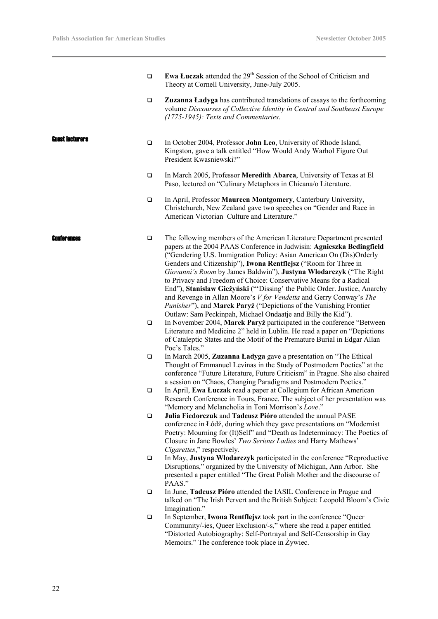|                 | $\Box$ | <b>Ewa Łuczak</b> attended the 29 <sup>th</sup> Session of the School of Criticism and<br>Theory at Cornell University, June-July 2005.                                                                                                                                                                                                                                                                                                                                                                                                                                                                                                                                                                                      |
|-----------------|--------|------------------------------------------------------------------------------------------------------------------------------------------------------------------------------------------------------------------------------------------------------------------------------------------------------------------------------------------------------------------------------------------------------------------------------------------------------------------------------------------------------------------------------------------------------------------------------------------------------------------------------------------------------------------------------------------------------------------------------|
|                 | $\Box$ | Zuzanna Ladyga has contributed translations of essays to the forthcoming<br>volume Discourses of Collective Identity in Central and Southeast Europe<br>(1775-1945): Texts and Commentaries.                                                                                                                                                                                                                                                                                                                                                                                                                                                                                                                                 |
| Euest Iecturers | $\Box$ | In October 2004, Professor John Leo, University of Rhode Island,<br>Kingston, gave a talk entitled "How Would Andy Warhol Figure Out<br>President Kwasniewski?"                                                                                                                                                                                                                                                                                                                                                                                                                                                                                                                                                              |
|                 | $\Box$ | In March 2005, Professor Meredith Abarca, University of Texas at El<br>Paso, lectured on "Culinary Metaphors in Chicana/o Literature.                                                                                                                                                                                                                                                                                                                                                                                                                                                                                                                                                                                        |
|                 | $\Box$ | In April, Professor Maureen Montgomery, Canterbury University,<br>Christchurch, New Zealand gave two speeches on "Gender and Race in<br>American Victorian Culture and Literature."                                                                                                                                                                                                                                                                                                                                                                                                                                                                                                                                          |
| Conterences     | $\Box$ | The following members of the American Literature Department presented<br>papers at the 2004 PAAS Conference in Jadwisin: Agnieszka Bedingfield<br>("Gendering U.S. Immigration Policy: Asian American On (Dis)Orderly<br>Genders and Citizenship"), Iwona Rentflejsz ("Room for Three in<br>Giovanni's Room by James Baldwin"), Justyna Włodarczyk ("The Right<br>to Privacy and Freedom of Choice: Conservative Means for a Radical<br>End"), Stanisław Gieżyński ("Dissing' the Public Order. Justice, Anarchy<br>and Revenge in Allan Moore's V for Vendetta and Gerry Conway's The<br>Punisher"), and Marek Paryż ("Depictions of the Vanishing Frontier<br>Outlaw: Sam Peckinpah, Michael Ondaatje and Billy the Kid"). |
|                 | $\Box$ | In November 2004, Marek Paryż participated in the conference "Between<br>Literature and Medicine 2" held in Lublin. He read a paper on "Depictions"<br>of Cataleptic States and the Motif of the Premature Burial in Edgar Allan<br>Poe's Tales."                                                                                                                                                                                                                                                                                                                                                                                                                                                                            |
|                 | $\Box$ | In March 2005, Zuzanna Ładyga gave a presentation on "The Ethical<br>Thought of Emmanuel Levinas in the Study of Postmodern Poetics" at the<br>conference "Future Literature, Future Criticism" in Prague. She also chaired<br>a session on "Chaos, Changing Paradigms and Postmodern Poetics."                                                                                                                                                                                                                                                                                                                                                                                                                              |
|                 | $\Box$ | In April, Ewa Łuczak read a paper at Collegium for African American<br>Research Conference in Tours, France. The subject of her presentation was<br>"Memory and Melancholia in Toni Morrison's Love."                                                                                                                                                                                                                                                                                                                                                                                                                                                                                                                        |
|                 | $\Box$ | Julia Fiedorczuk and Tadeusz Pióro attended the annual PASE<br>conference in Łódź, during which they gave presentations on "Modernist"<br>Poetry: Mourning for (It)Self" and "Death as Indeterminacy: The Poetics of<br>Closure in Jane Bowles' Two Serious Ladies and Harry Mathews'<br>Cigarettes," respectively.                                                                                                                                                                                                                                                                                                                                                                                                          |
|                 | $\Box$ | In May, Justyna Włodarczyk participated in the conference "Reproductive<br>Disruptions," organized by the University of Michigan, Ann Arbor. She<br>presented a paper entitled "The Great Polish Mother and the discourse of<br>PAAS."                                                                                                                                                                                                                                                                                                                                                                                                                                                                                       |
|                 | $\Box$ | In June, Tadeusz Pióro attended the IASIL Conference in Prague and<br>talked on "The Irish Pervert and the British Subject: Leopold Bloom's Civic<br>Imagination."                                                                                                                                                                                                                                                                                                                                                                                                                                                                                                                                                           |
|                 | $\Box$ | In September, Iwona Rentflejsz took part in the conference "Queer<br>Community/-ies, Queer Exclusion/-s," where she read a paper entitled<br>"Distorted Autobiography: Self-Portrayal and Self-Censorship in Gay<br>Memoirs." The conference took place in Żywiec.                                                                                                                                                                                                                                                                                                                                                                                                                                                           |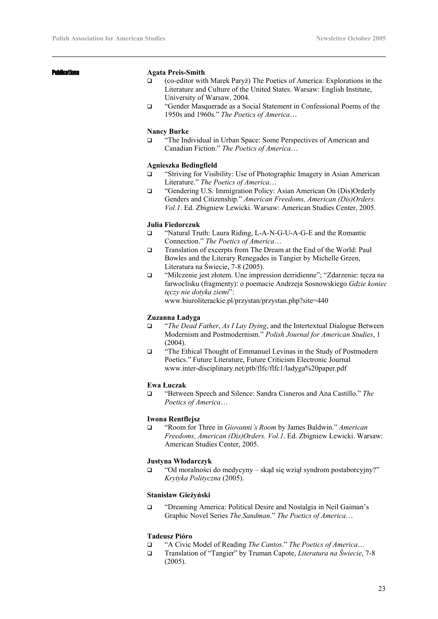#### Publications **Agata Preis-Smith**

- (co-editor with Marek Paryż) The Poetics of America: Explorations in the Literature and Culture of the United States. Warsaw: English Institute, University of Warsaw, 2004.
- "Gender Masquerade as a Social Statement in Confessional Poems of the 1950s and 1960s." *The Poetics of America*…

#### **Nancy Burke**

 "The Individual in Urban Space: Some Perspectives of American and Canadian Fiction." *The Poetics of America*…

#### **Agnieszka Bedingfield**

- "Striving for Visibility: Use of Photographic Imagery in Asian American Literature." *The Poetics of America*…
- "Gendering U.S. Immigration Policy: Asian American On (Dis)Orderly Genders and Citizenship." *American Freedoms, American (Dis)Orders. Vol.1*. Ed. Zbigniew Lewicki. Warsaw: American Studies Center, 2005.

#### **Julia Fiedorczuk**

- □ "Natural Truth: Laura Riding, L-A-N-G-U-A-G-E and the Romantic Connection." *The Poetics of America*…
- Translation of excerpts from The Dream at the End of the World: Paul Bowles and the Literary Renegades in Tangier by Michelle Green, Literatura na Świecie, 7-8 (2005).
- "Milczenie jest złotem. Une impression derridienne"; "Zdarzenie: tęcza na farwoclisku (fragmenty): o poemacie Andrzeja Sosnowskiego *Gdzie koniec tęczy nie dotyka ziemi*":

www.biuroliterackie.pl/przystan/przystan.php?site=440

#### **Zuzanna Ładyga**

- "*The Dead Father*, *As I Lay Dying*, and the Intertextual Dialogue Between Modernism and Postmodernism." *Polish Journal for American Studies*, 1 (2004).
- "The Ethical Thought of Emmanuel Levinas in the Study of Postmodern Poetics." Future Literature, Future Criticism Electronic Journal www.inter-disciplinary.net/ptb/flfc/flfc1/ladyga%20paper.pdf

#### **Ewa Łuczak**

 "Between Speech and Silence: Sandra Cisneros and Ana Castillo." *The Poetics of America*…

#### **Iwona Rentflejsz**

 "Room for Three in *Giovanni's Room* by James Baldwin." *American Freedoms, American (Dis)Orders. Vol.1*. Ed. Zbigniew Lewicki. Warsaw: American Studies Center, 2005.

#### **Justyna Włodarczyk**

 $\Box$  "Od moralności do medycyny – skąd się wziął syndrom postaborcyjny?" *Krytyka Polityczna* (2005).

#### **Stanisław Gieżyński**

 "Dreaming America: Political Desire and Nostalgia in Neil Gaiman's Graphic Novel Series *The Sandman*." *The Poetics of America*…

#### **Tadeusz Pióro**

- "A Civic Model of Reading *The Cantos*." *The Poetics of America*…
- Translation of "Tangier" by Truman Capote, *Literatura na Świecie*, 7-8 (2005).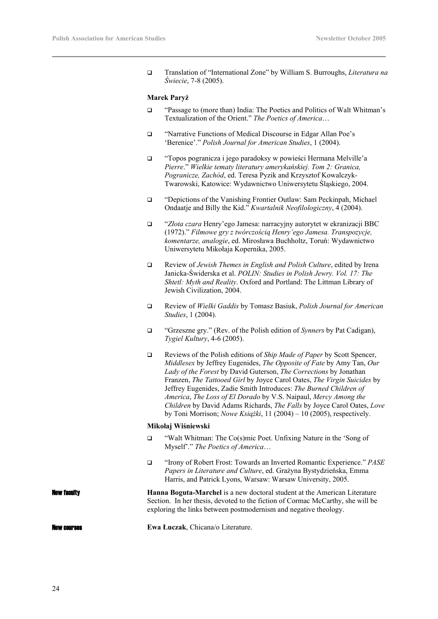Translation of "International Zone" by William S. Burroughs, *Literatura na Świecie*, 7-8 (2005).

#### **Marek Paryż**

- "Passage to (more than) India: The Poetics and Politics of Walt Whitman's Textualization of the Orient." *The Poetics of America*…
- "Narrative Functions of Medical Discourse in Edgar Allan Poe's 'Berenice'." *Polish Journal for American Studies*, 1 (2004).
- "Topos pogranicza i jego paradoksy w powieści Hermana Melville'a *Pierre*." *Wielkie tematy literatury amerykańskiej. Tom 2: Granica, Pogranicze, Zachód*, ed. Teresa Pyzik and Krzysztof Kowalczyk-Twarowski, Katowice: Wydawnictwo Uniwersytetu Śląskiego, 2004.
- "Depictions of the Vanishing Frontier Outlaw: Sam Peckinpah, Michael Ondaatje and Billy the Kid." *Kwartalnik Neofilologiczny*, 4 (2004).
- "*Złota czara* Henry'ego Jamesa: narracyjny autorytet w ekranizacji BBC (1972)." *Filmowe gry z twórczością Henry'ego Jamesa. Transpozycje, komentarze, analogie*, ed. Mirosława Buchholtz, Toruń: Wydawnictwo Uniwersytetu Mikołaja Kopernika, 2005.
- Review of *Jewish Themes in English and Polish Culture*, edited by Irena Janicka-Świderska et al. *POLIN: Studies in Polish Jewry. Vol. 17: The Shtetl: Myth and Reality*. Oxford and Portland: The Littman Library of Jewish Civilization, 2004.
- Review of *Wielki Gaddis* by Tomasz Basiuk, *Polish Journal for American Studies*, 1 (2004).
- "Grzeszne gry." (Rev. of the Polish edition of *Synners* by Pat Cadigan), *Tygiel Kultury*, 4-6 (2005).
- Reviews of the Polish editions of *Ship Made of Paper* by Scott Spencer, *Middlesex* by Jeffrey Eugenides, *The Opposite of Fate* by Amy Tan, *Our Lady of the Forest* by David Guterson, *The Corrections* by Jonathan Franzen, *The Tattooed Girl* by Joyce Carol Oates, *The Virgin Suicides* by Jeffrey Eugenides, Zadie Smith Introduces: *The Burned Children of America*, *The Loss of El Dorado* by V.S. Naipaul, *Mercy Among the Children* by David Adams Richards, *The Falls* by Joyce Carol Oates, *Love* by Toni Morrison; *Nowe Książki*, 11 (2004) – 10 (2005), respectively.

#### **Mikołaj Wiśniewski**

- "Walt Whitman: The Co(s)mic Poet. Unfixing Nature in the 'Song of Myself'." *The Poetics of America*…
- "Irony of Robert Frost: Towards an Inverted Romantic Experience." *PASE Papers in Literature and Culture*, ed. Grażyna Bystydzieńska, Emma Harris, and Patrick Lyons, Warsaw: Warsaw University, 2005.

New faculty **Hanna Boguta-Marchel** is a new doctoral student at the American Literature Section. In her thesis, devoted to the fiction of Cormac McCarthy, she will be exploring the links between postmodernism and negative theology.

New courses **Ewa Łuczak**, Chicana/o Literature.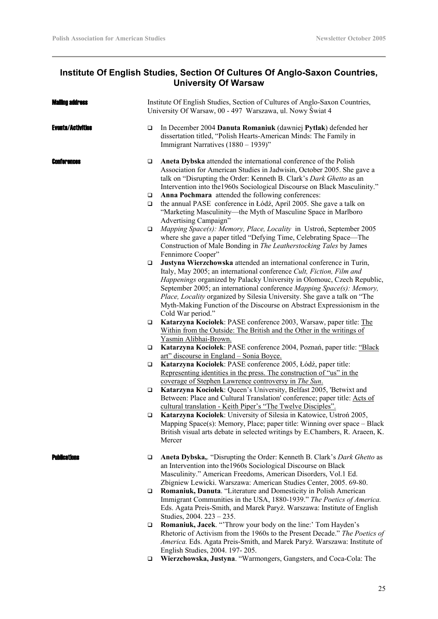# **Institute Of English Studies, Section Of Cultures Of Anglo-Saxon Countries, University Of Warsaw**

| <b>Mailno address</b>    |                  | Institute Of English Studies, Section of Cultures of Anglo-Saxon Countries,<br>University Of Warsaw, 00 - 497 Warszawa, ul. Nowy Świat 4                                                                                                                                                                                                                                                                                                                                  |  |
|--------------------------|------------------|---------------------------------------------------------------------------------------------------------------------------------------------------------------------------------------------------------------------------------------------------------------------------------------------------------------------------------------------------------------------------------------------------------------------------------------------------------------------------|--|
| <b>Events/Activities</b> | □                | In December 2004 Danuta Romaniuk (dawniej Pytlak) defended her<br>dissertation titled, "Polish Hearts-American Minds: The Family in<br>Immigrant Narratives (1880 - 1939)"                                                                                                                                                                                                                                                                                                |  |
| Conferences              | $\Box$           | Aneta Dybska attended the international conference of the Polish<br>Association for American Studies in Jadwisin, October 2005. She gave a<br>talk on "Disrupting the Order: Kenneth B. Clark's Dark Ghetto as an<br>Intervention into the 1960s Sociological Discourse on Black Masculinity."                                                                                                                                                                            |  |
|                          | $\Box$<br>$\Box$ | Anna Pochmara attended the following conferences:<br>the annual PASE conference in Łódź, April 2005. She gave a talk on<br>"Marketing Masculinity—the Myth of Masculine Space in Marlboro<br>Advertising Campaign"                                                                                                                                                                                                                                                        |  |
|                          | □                | Mapping Space(s): Memory, Place, Locality in Ustroń, September 2005<br>where she gave a paper titled "Defying Time, Celebrating Space—The<br>Construction of Male Bonding in The Leatherstocking Tales by James<br>Fennimore Cooper"                                                                                                                                                                                                                                      |  |
|                          | □                | Justyna Wierzchowska attended an international conference in Turin,<br>Italy, May 2005; an international conference Cult, Fiction, Film and<br>Happenings organized by Palacky University in Olomouc, Czech Republic,<br>September 2005; an international conference Mapping Space(s): Memory,<br>Place, Locality organized by Silesia University. She gave a talk on "The<br>Myth-Making Function of the Discourse on Abstract Expressionism in the<br>Cold War period." |  |
|                          | $\Box$           | Katarzyna Kociołek: PASE conference 2003, Warsaw, paper title: The<br>Within from the Outside: The British and the Other in the writings of<br>Yasmin Alibhai-Brown.                                                                                                                                                                                                                                                                                                      |  |
|                          | □                | Katarzyna Kociołek: PASE conference 2004, Poznań, paper title: "Black<br><u>art" discourse in England – Sonia Boyce.</u>                                                                                                                                                                                                                                                                                                                                                  |  |
|                          | □                | Katarzyna Kociołek: PASE conference 2005, Łódź, paper title:<br>Representing identities in the press. The construction of "us" in the<br>coverage of Stephen Lawrence controversy in The Sun.                                                                                                                                                                                                                                                                             |  |
|                          | $\Box$           | Katarzyna Kociołek: Queen's University, Belfast 2005, 'Betwixt and<br>Between: Place and Cultural Translation' conference; paper title: Acts of                                                                                                                                                                                                                                                                                                                           |  |
|                          | □                | cultural translation - Keith Piper's "The Twelve Disciples".<br>Katarzyna Kociołek: University of Silesia in Katowice, Ustroń 2005,<br>Mapping Space(s): Memory, Place; paper title: Winning over space - Black<br>British visual arts debate in selected writings by E.Chambers, R. Araeen, K.<br>Mercer                                                                                                                                                                 |  |
| <b>Publications</b>      | ❏                | Aneta Dybska,. "Disrupting the Order: Kenneth B. Clark's Dark Ghetto as<br>an Intervention into the 1960s Sociological Discourse on Black<br>Masculinity." American Freedoms, American Disorders, Vol.1 Ed.<br>Zbigniew Lewicki. Warszawa: American Studies Center, 2005. 69-80.                                                                                                                                                                                          |  |
|                          | □                | Romaniuk, Danuta. "Literature and Domesticity in Polish American<br>Immigrant Communities in the USA, 1880-1939." The Poetics of America.<br>Eds. Agata Preis-Smith, and Marek Paryż. Warszawa: Institute of English<br>Studies, 2004. 223 - 235.                                                                                                                                                                                                                         |  |
|                          | □                | Romaniuk, Jacek. "Throw your body on the line:' Tom Hayden's<br>Rhetoric of Activism from the 1960s to the Present Decade." The Poetics of<br>America. Eds. Agata Preis-Smith, and Marek Paryż. Warszawa: Institute of<br>English Studies, 2004. 197-205.                                                                                                                                                                                                                 |  |
|                          | $\Box$           | Wierzchowska, Justyna. "Warmongers, Gangsters, and Coca-Cola: The                                                                                                                                                                                                                                                                                                                                                                                                         |  |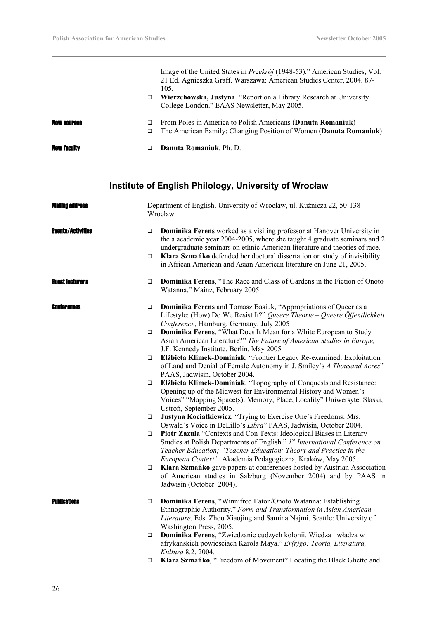|                          |                                                                                  | Image of the United States in <i>Przekrój</i> (1948-53)." American Studies, Vol.<br>21 Ed. Agnieszka Graff. Warszawa: American Studies Center, 2004. 87-<br>105.                                                                                                                                                |
|--------------------------|----------------------------------------------------------------------------------|-----------------------------------------------------------------------------------------------------------------------------------------------------------------------------------------------------------------------------------------------------------------------------------------------------------------|
|                          | □                                                                                | Wierzchowska, Justyna "Report on a Library Research at University<br>College London." EAAS Newsletter, May 2005.                                                                                                                                                                                                |
| New Courses              | $\Box$<br>$\Box$                                                                 | From Poles in America to Polish Americans (Danuta Romaniuk)<br>The American Family: Changing Position of Women (Danuta Romaniuk)                                                                                                                                                                                |
| <b>New faculty</b>       | $\Box$                                                                           | Danuta Romaniuk, Ph. D.                                                                                                                                                                                                                                                                                         |
|                          |                                                                                  | Institute of English Philology, University of Wrocław                                                                                                                                                                                                                                                           |
| Mailinn address          | Department of English, University of Wrocław, ul. Kuźnicza 22, 50-138<br>Wrocław |                                                                                                                                                                                                                                                                                                                 |
| <b>Events/Activities</b> | □<br>□                                                                           | Dominika Ferens worked as a visiting professor at Hanover University in<br>the a academic year 2004-2005, where she taught 4 graduate seminars and 2<br>undergraduate seminars on ethnic American literature and theories of race.<br>Klara Szmańko defended her doctoral dissertation on study of invisibility |
| <b>Guest lecturers</b>   | ❏                                                                                | in African American and Asian American literature on June 21, 2005.<br>Dominika Ferens, "The Race and Class of Gardens in the Fiction of Onoto<br>Watanna." Mainz, February 2005                                                                                                                                |
| Conferences              | ❏                                                                                | Dominika Ferens and Tomasz Basiuk, "Appropriations of Queer as a<br>Lifestyle: (How) Do We Resist It?" Queere Theorie - Queere Öffentlichkeit<br>Conference, Hamburg, Germany, July 2005                                                                                                                        |
|                          | $\Box$                                                                           | Dominika Ferens, "What Does It Mean for a White European to Study<br>Asian American Literature?" The Future of American Studies in Europe,<br>J.F. Kennedy Institute, Berlin, May 2005                                                                                                                          |
|                          | $\Box$                                                                           | Elżbieta Klimek-Dominiak, "Frontier Legacy Re-examined: Exploitation<br>of Land and Denial of Female Autonomy in J. Smiley's A Thousand Acres"<br>PAAS, Jadwisin, October 2004.                                                                                                                                 |
|                          | $\Box$                                                                           | Elżbieta Klimek-Dominiak, "Topography of Conquests and Resistance:<br>Opening up of the Midwest for Environmental History and Women's<br>Voices" "Mapping Space(s): Memory, Place, Locality" Uniwersytet Slaski,                                                                                                |
|                          | ❏                                                                                | Ustroń, September 2005.<br>Justyna Kociatkiewicz, "Trying to Exercise One's Freedoms: Mrs.<br>Oswald's Voice in DeLillo's Libra" PAAS, Jadwisin, October 2004.                                                                                                                                                  |
|                          | $\Box$                                                                           | Piotr Zazula "Contexts and Con Texts: Ideological Biases in Literary<br>Studies at Polish Departments of English." Ist International Conference on<br>Teacher Education; "Teacher Education: Theory and Practice in the                                                                                         |
|                          | $\Box$                                                                           | European Context". Akademia Pedagogiczna, Kraków, May 2005.<br>Klara Szmańko gave papers at conferences hosted by Austrian Association<br>of American studies in Salzburg (November 2004) and by PAAS in<br>Jadwisin (October 2004).                                                                            |
| Publications             | $\Box$                                                                           | Dominika Ferens, "Winnifred Eaton/Onoto Watanna: Establishing<br>Ethnographic Authority." Form and Transformation in Asian American<br>Literature. Eds. Zhou Xiaojing and Samina Najmi. Seattle: University of                                                                                                  |
|                          | ❏                                                                                | Washington Press, 2005.<br>Dominika Ferens, "Zwiedzanie cudzych kolonii. Wiedza i władza w<br>afrykanskich powiesciach Karola Maya." Er(r)go: Teoria, Literatura,<br>Kultura 8.2, 2004.                                                                                                                         |
|                          | ❏                                                                                | Klara Szmańko, "Freedom of Movement? Locating the Black Ghetto and                                                                                                                                                                                                                                              |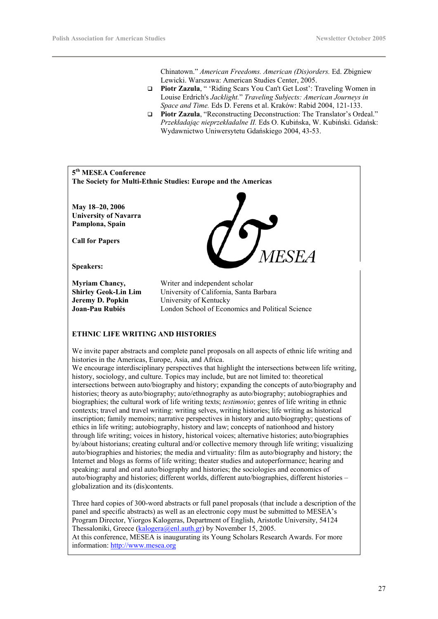Chinatown." *American Freedoms. American (Dis)orders.* Ed. Zbigniew Lewicki. Warszawa: American Studies Center, 2005.

- **Piotr Zazula**, " 'Riding Scars You Can't Get Lost': Traveling Women in Louise Erdrich's *Jacklight.*" *Traveling Subjects: American Journeys in Space and Time.* Eds D. Ferens et al. Kraków: Rabid 2004, 121-133.
- **Piotr Zazula**, "Reconstructing Deconstruction: The Translator's Ordeal." *Przekładając nieprzekładalne II.* Eds O. Kubińska, W. Kubiński. Gdańsk: Wydawnictwo Uniwersytetu Gdańskiego 2004, 43-53.



At this conference, MESEA is inaugurating its Young Scholars Research Awards. For more information: http://www.mesea.org